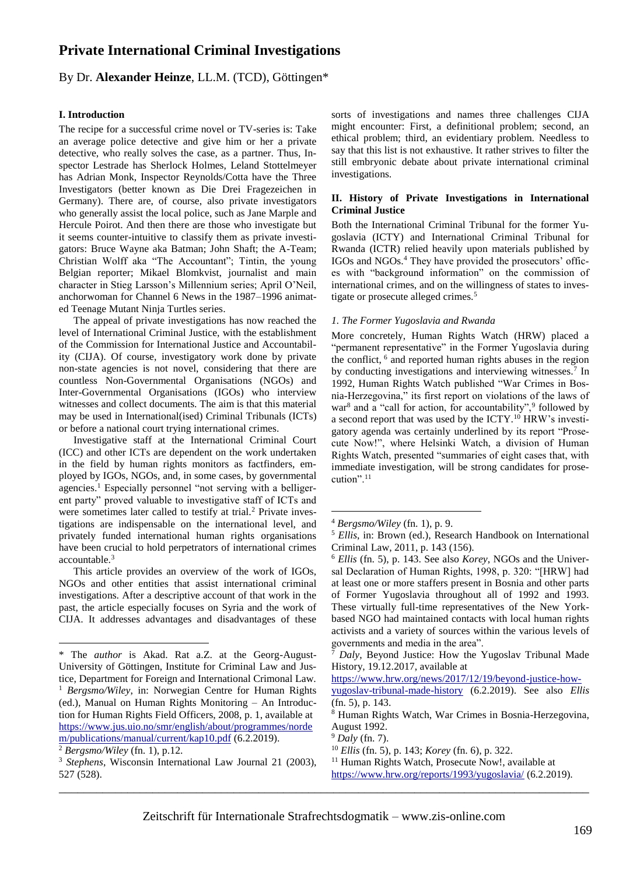# **Private International Criminal Investigations**

# By Dr. **Alexander Heinze**, LL.M. (TCD), Göttingen\*

### **I. Introduction**

The recipe for a successful crime novel or TV-series is: Take an average police detective and give him or her a private detective, who really solves the case, as a partner. Thus, Inspector Lestrade has Sherlock Holmes, Leland Stottelmeyer has Adrian Monk, Inspector Reynolds/Cotta have the Three Investigators (better known as Die Drei Fragezeichen in Germany). There are, of course, also private investigators who generally assist the local police, such as Jane Marple and Hercule Poirot. And then there are those who investigate but it seems counter-intuitive to classify them as private investigators: Bruce Wayne aka Batman; John Shaft; the A-Team; Christian Wolff aka "The Accountant"; Tintin, the young Belgian reporter; Mikael Blomkvist, journalist and main character in Stieg Larsson's Millennium series; April O'Neil, anchorwoman for Channel 6 News in the 1987–1996 animated Teenage Mutant Ninja Turtles series.

The appeal of private investigations has now reached the level of International Criminal Justice, with the establishment of the Commission for International Justice and Accountability (CIJA). Of course, investigatory work done by private non-state agencies is not novel, considering that there are countless Non-Governmental Organisations (NGOs) and Inter-Governmental Organisations (IGOs) who interview witnesses and collect documents. The aim is that this material may be used in International(ised) Criminal Tribunals (ICTs) or before a national court trying international crimes.

<span id="page-0-0"></span>Investigative staff at the International Criminal Court (ICC) and other ICTs are dependent on the work undertaken in the field by human rights monitors as factfinders, employed by IGOs, NGOs, and, in some cases, by governmental agencies.<sup>1</sup> Especially personnel "not serving with a belligerent party" proved valuable to investigative staff of ICTs and were sometimes later called to testify at trial.<sup>2</sup> Private investigations are indispensable on the international level, and privately funded international human rights organisations have been crucial to hold perpetrators of international crimes accountable.<sup>3</sup>

This article provides an overview of the work of IGOs, NGOs and other entities that assist international criminal investigations. After a descriptive account of that work in the past, the article especially focuses on Syria and the work of CIJA. It addresses advantages and disadvantages of these

<u>.</u>

sorts of investigations and names three challenges CIJA might encounter: First, a definitional problem; second, an ethical problem; third, an evidentiary problem. Needless to say that this list is not exhaustive. It rather strives to filter the still embryonic debate about private international criminal investigations.

### **II. History of Private Investigations in International Criminal Justice**

Both the International Criminal Tribunal for the former Yugoslavia (ICTY) and International Criminal Tribunal for Rwanda (ICTR) relied heavily upon materials published by IGOs and NGOs.<sup>4</sup> They have provided the prosecutors' offices with "background information" on the commission of international crimes, and on the willingness of states to investigate or prosecute alleged crimes.<sup>5</sup>

#### <span id="page-0-1"></span>*1. The Former Yugoslavia and Rwanda*

<span id="page-0-3"></span><span id="page-0-2"></span>More concretely, Human Rights Watch (HRW) placed a "permanent representative" in the Former Yugoslavia during the conflict, <sup>6</sup> and reported human rights abuses in the region by conducting investigations and interviewing witnesses.<sup>7</sup> In 1992, Human Rights Watch published "War Crimes in Bosnia-Herzegovina," its first report on violations of the laws of war<sup>8</sup> and a "call for action, for accountability",  $9$  followed by a second report that was used by the ICTY.<sup>10</sup> HRW's investigatory agenda was certainly underlined by its report "Prosecute Now!", where Helsinki Watch, a division of Human Rights Watch, presented "summaries of eight cases that, with immediate investigation, will be strong candidates for prosecution".<sup>11</sup>

1

<sup>\*</sup> The *author* is Akad. Rat a.Z. at the Georg-August-University of Göttingen, Institute for Criminal Law and Justice, Department for Foreign and International Crimonal Law. <sup>1</sup> *Bergsmo/Wiley*, in: Norwegian Centre for Human Rights (ed.), Manual on Human Rights Monitoring – An Introduction for Human Rights Field Officers, 2008, p. 1, available at [https://www.jus.uio.no/smr/english/about/programmes/norde](https://www.jus.uio.no/smr/english/about/programmes/nordem/publications/manual/current/kap10.pdf) [m/publications/manual/current/kap10.pdf](https://www.jus.uio.no/smr/english/about/programmes/nordem/publications/manual/current/kap10.pdf) (6.2.2019).

<sup>2</sup> *Bergsmo/Wiley* (fn[. 1\)](#page-0-0), p.12.

<sup>3</sup> *Stephens*, Wisconsin International Law Journal 21 (2003), 527 (528).

<sup>4</sup> *Bergsmo/Wiley* (fn. [1\)](#page-0-0), p. 9.

<sup>5</sup> *Ellis*, in: Brown (ed.), Research Handbook on International Criminal Law, 2011, p. 143 (156).

<sup>6</sup> *Ellis* (fn. [5\)](#page-0-1), p. 143. See also *Korey*, NGOs and the Universal Declaration of Human Rights, 1998, p. 320: "[HRW] had at least one or more staffers present in Bosnia and other parts of Former Yugoslavia throughout all of 1992 and 1993. These virtually full-time representatives of the New Yorkbased NGO had maintained contacts with local human rights activists and a variety of sources within the various levels of governments and media in the area".

<sup>7</sup> *Daly*, Beyond Justice: How the Yugoslav Tribunal Made History, 19.12.2017, available at

[https://www.hrw.org/news/2017/12/19/beyond-justice-how-](https://www.hrw.org/news/2017/12/19/beyond-justice-how-yugoslav-tribunal-made-history)

[yugoslav-tribunal-made-history](https://www.hrw.org/news/2017/12/19/beyond-justice-how-yugoslav-tribunal-made-history) (6.2.2019). See also *Ellis* (fn. [5\)](#page-0-1), p. 143.

<sup>8</sup> Human Rights Watch, War Crimes in Bosnia-Herzegovina, August 1992.

<sup>9</sup> *Daly* (fn. [7\)](#page-0-2).

<sup>10</sup> *Ellis* (fn. [5\)](#page-0-1), p. 143; *Korey* (fn[. 6\)](#page-0-3), p. 322.

<sup>&</sup>lt;sup>11</sup> Human Rights Watch, Prosecute Now!, available at <https://www.hrw.org/reports/1993/yugoslavia/> (6.2.2019).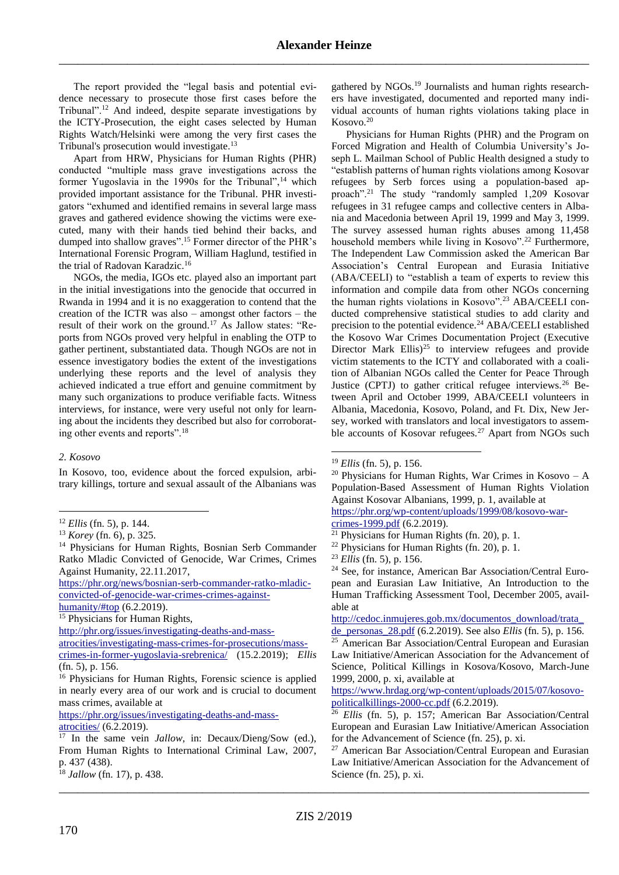The report provided the "legal basis and potential evidence necessary to prosecute those first cases before the Tribunal".<sup>12</sup> And indeed, despite separate investigations by the ICTY-Prosecution, the eight cases selected by Human Rights Watch/Helsinki were among the very first cases the Tribunal's prosecution would investigate.<sup>13</sup>

Apart from HRW, Physicians for Human Rights (PHR) conducted "multiple mass grave investigations across the former Yugoslavia in the 1990s for the Tribunal",<sup>14</sup> which provided important assistance for the Tribunal. PHR investigators "exhumed and identified remains in several large mass graves and gathered evidence showing the victims were executed, many with their hands tied behind their backs, and dumped into shallow graves".<sup>15</sup> Former director of the PHR's International Forensic Program, William Haglund, testified in the trial of Radovan Karadzic.<sup>16</sup>

<span id="page-1-0"></span>NGOs, the media, IGOs etc. played also an important part in the initial investigations into the genocide that occurred in Rwanda in 1994 and it is no exaggeration to contend that the creation of the ICTR was also – amongst other factors – the result of their work on the ground.<sup>17</sup> As Jallow states: "Reports from NGOs proved very helpful in enabling the OTP to gather pertinent, substantiated data. Though NGOs are not in essence investigatory bodies the extent of the investigations underlying these reports and the level of analysis they achieved indicated a true effort and genuine commitment by many such organizations to produce verifiable facts. Witness interviews, for instance, were very useful not only for learning about the incidents they described but also for corroborating other events and reports".<sup>18</sup>

### *2. Kosovo*

1

In Kosovo, too, evidence about the forced expulsion, arbitrary killings, torture and sexual assault of the Albanians was

[https://phr.org/news/bosnian-serb-commander-ratko-mladic](https://phr.org/news/bosnian-serb-commander-ratko-mladic-convicted-of-genocide-war-crimes-crimes-against-humanity/#top)[convicted-of-genocide-war-crimes-crimes-against](https://phr.org/news/bosnian-serb-commander-ratko-mladic-convicted-of-genocide-war-crimes-crimes-against-humanity/#top)[humanity/#top](https://phr.org/news/bosnian-serb-commander-ratko-mladic-convicted-of-genocide-war-crimes-crimes-against-humanity/#top) (6.2.2019).

<sup>15</sup> Physicians for Human Rights,

[http://phr.org/issues/investigating-deaths-and-mass-](http://physiciansforhumanrights.orgllibrary/news-2001-0802.html)

[atrocities/investigating-mass-crimes-for-prosecutions/mass](http://physiciansforhumanrights.orgllibrary/news-2001-0802.html)[crimes-in-former-yugoslavia-srebrenica/](http://physiciansforhumanrights.orgllibrary/news-2001-0802.html) (15.2.2019); *Ellis*

[https://phr.org/issues/investigating-deaths-and-mass-](https://phr.org/issues/investigating-deaths-and-mass-atrocities/)

gathered by NGOs.<sup>19</sup> Journalists and human rights researchers have investigated, documented and reported many individual accounts of human rights violations taking place in Kosovo.<sup>20</sup>

<span id="page-1-1"></span>Physicians for Human Rights (PHR) and the Program on Forced Migration and Health of Columbia University's Joseph L. Mailman School of Public Health designed a study to "establish patterns of human rights violations among Kosovar refugees by Serb forces using a population-based approach".<sup>21</sup> The study "randomly sampled 1,209 Kosovar refugees in 31 refugee camps and collective centers in Albania and Macedonia between April 19, 1999 and May 3, 1999. The survey assessed human rights abuses among 11,458 household members while living in Kosovo".<sup>22</sup> Furthermore, The Independent Law Commission asked the American Bar Association's Central European and Eurasia Initiative (ABA/CEELI) to "establish a team of experts to review this information and compile data from other NGOs concerning the human rights violations in Kosovo".<sup>23</sup> ABA/CEELI conducted comprehensive statistical studies to add clarity and precision to the potential evidence.<sup>24</sup> ABA/CEELI established the Kosovo War Crimes Documentation Project (Executive Director Mark  $Ellis)^{25}$  to interview refugees and provide victim statements to the ICTY and collaborated with a coalition of Albanian NGOs called the Center for Peace Through Justice (CPTJ) to gather critical refugee interviews.<sup>26</sup> Between April and October 1999, ABA/CEELI volunteers in Albania, Macedonia, Kosovo, Poland, and Ft. Dix, New Jersey, worked with translators and local investigators to assemble accounts of Kosovar refugees.<sup>27</sup> Apart from NGOs such

<span id="page-1-2"></span><u>.</u>

[crimes-1999.pdf](https://phr.org/wp-content/uploads/1999/08/kosovo-war-crimes-1999.pdf) (6.2.2019).

<sup>24</sup> See, for instance, American Bar Association/Central European and Eurasian Law Initiative, An Introduction to the Human Trafficking Assessment Tool, December 2005, available at

[http://cedoc.inmujeres.gob.mx/documentos\\_download/trata\\_](http://cedoc.inmujeres.gob.mx/documentos_download/trata_de_personas_28.pdf)

[https://www.hrdag.org/wp-content/uploads/2015/07/kosovo](https://www.hrdag.org/wp-content/uploads/2015/07/kosovo-politicalkillings-2000-cc.pdf)[politicalkillings-2000-cc.pdf](https://www.hrdag.org/wp-content/uploads/2015/07/kosovo-politicalkillings-2000-cc.pdf) (6.2.2019).

<sup>26</sup> *Ellis* (fn. [5\)](#page-0-1), p. 157; American Bar Association/Central European and Eurasian Law Initiative/American Association for the Advancement of Science (fn. [25\)](#page-1-2), p. xi.

<sup>12</sup> *Ellis* (fn. [5\)](#page-0-1), p. 144.

<sup>13</sup> *Korey* (fn. [6\)](#page-0-3), p. 325.

<sup>&</sup>lt;sup>14</sup> Physicians for Human Rights, Bosnian Serb Commander Ratko Mladic Convicted of Genocide, War Crimes, Crimes Against Humanity, 22.11.2017,

<sup>(</sup>fn. [5\)](#page-0-1), p. 156. <sup>16</sup> Physicians for Human Rights, Forensic science is applied in nearly every area of our work and is crucial to document mass crimes, available at

[atrocities/](https://phr.org/issues/investigating-deaths-and-mass-atrocities/) (6.2.2019).

<sup>17</sup> In the same vein *Jallow*, in: Decaux/Dieng/Sow (ed.), From Human Rights to International Criminal Law, 2007, p. 437 (438).

\_\_\_\_\_\_\_\_\_\_\_\_\_\_\_\_\_\_\_\_\_\_\_\_\_\_\_\_\_\_\_\_\_\_\_\_\_\_\_\_\_\_\_\_\_\_\_\_\_\_\_\_\_\_\_\_\_\_\_\_\_\_\_\_\_\_\_\_\_\_\_\_\_\_\_\_\_\_\_\_\_\_\_\_\_ <sup>18</sup> *Jallow* (fn. [17\)](#page-1-0), p. 438.

<sup>19</sup> *Ellis* (fn. [5\)](#page-0-1), p. 156.

<sup>&</sup>lt;sup>20</sup> Physicians for Human Rights, War Crimes in Kosovo – A Population-Based Assessment of Human Rights Violation Against Kosovar Albanians, 1999, p. 1, available at [https://phr.org/wp-content/uploads/1999/08/kosovo-war-](https://phr.org/wp-content/uploads/1999/08/kosovo-war-crimes-1999.pdf)

<sup>21</sup> Physicians for Human Rights (fn. [20\)](#page-1-1), p. 1.

<sup>22</sup> Physicians for Human Rights (fn. [20\)](#page-1-1), p. 1.

<sup>23</sup> *Ellis* (fn. [5\)](#page-0-1), p. 156.

[de\\_personas\\_28.pdf](http://cedoc.inmujeres.gob.mx/documentos_download/trata_de_personas_28.pdf) (6.2.2019). See also *Ellis* (fn. [5\)](#page-0-1), p. 156. <sup>25</sup> American Bar Association/Central European and Eurasian Law Initiative/American Association for the Advancement of Science, Political Killings in Kosova/Kosovo, March-June 1999, 2000, p. xi, available at

<sup>27</sup> American Bar Association/Central European and Eurasian Law Initiative/American Association for the Advancement of Science (fn. [25\)](#page-1-2), p. xi.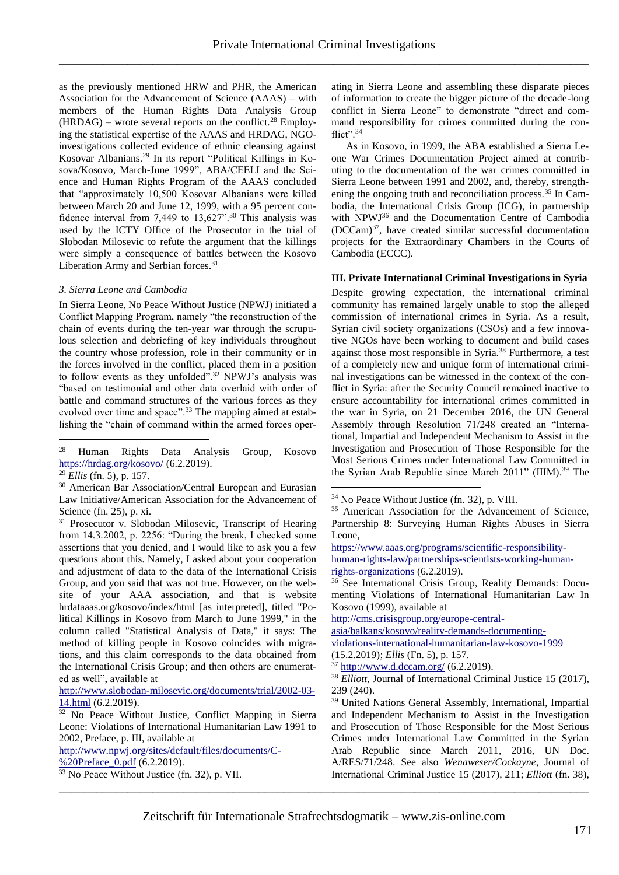as the previously mentioned HRW and PHR, the American Association for the Advancement of Science (AAAS) – with members of the Human Rights Data Analysis Group  $(HRDAG)$  – wrote several reports on the conflict.<sup>28</sup> Employing the statistical expertise of the AAAS and HRDAG, NGOinvestigations collected evidence of ethnic cleansing against Kosovar Albanians.<sup>29</sup> In its report "Political Killings in Kosova/Kosovo, March-June 1999", ABA/CEELI and the Science and Human Rights Program of the AAAS concluded that "approximately 10,500 Kosovar Albanians were killed between March 20 and June 12, 1999, with a 95 percent confidence interval from 7,449 to  $13,627$ ".<sup>30</sup> This analysis was used by the ICTY Office of the Prosecutor in the trial of Slobodan Milosevic to refute the argument that the killings were simply a consequence of battles between the Kosovo Liberation Army and Serbian forces.<sup>31</sup>

### *3. Sierra Leone and Cambodia*

In Sierra Leone, No Peace Without Justice (NPWJ) initiated a Conflict Mapping Program, namely "the reconstruction of the chain of events during the ten-year war through the scrupulous selection and debriefing of key individuals throughout the country whose profession, role in their community or in the forces involved in the conflict, placed them in a position to follow events as they unfolded".<sup>32</sup> NPWJ's analysis was "based on testimonial and other data overlaid with order of battle and command structures of the various forces as they evolved over time and space".<sup>33</sup> The mapping aimed at establishing the "chain of command within the armed forces oper-

<sup>28</sup> Human Rights Data Analysis Group, Kosovo <https://hrdag.org/kosovo/> (6.2.2019).

<sup>29</sup> *Ellis* (fn. [5\)](#page-0-1), p. 157.

1

<sup>30</sup> American Bar Association/Central European and Eurasian Law Initiative/American Association for the Advancement of Science (fn. [25\)](#page-1-2), p. xi.

<sup>31</sup> Prosecutor v. Slobodan Milosevic, Transcript of Hearing from 14.3.2002, p. 2256: "During the break, I checked some assertions that you denied, and I would like to ask you a few questions about this. Namely, I asked about your cooperation and adjustment of data to the data of the International Crisis Group, and you said that was not true. However, on the website of your AAA association, and that is website hrdataaas.org/kosovo/index/html [as interpreted], titled "Political Killings in Kosovo from March to June 1999," in the column called "Statistical Analysis of Data," it says: The method of killing people in Kosovo coincides with migrations, and this claim corresponds to the data obtained from the International Crisis Group; and then others are enumerated as well", available at

[http://www.slobodan-milosevic.org/documents/trial/2002-03-](http://www.slobodan-milosevic.org/documents/trial/2002-03-14.html) [14.html](http://www.slobodan-milosevic.org/documents/trial/2002-03-14.html) (6.2.2019).

[http://www.npwj.org/sites/default/files/documents/C-](http://www.npwj.org/sites/default/files/documents/C-%20Preface_0.pdf) %20Preface 0.pdf (6.2.2019). <sup>33</sup> No Peace Without Justice (fn. [32\)](#page-2-0), p. VII.

ating in Sierra Leone and assembling these disparate pieces of information to create the bigger picture of the decade-long conflict in Sierra Leone" to demonstrate "direct and command responsibility for crimes committed during the conflict".<sup>34</sup>

As in Kosovo, in 1999, the ABA established a Sierra Leone War Crimes Documentation Project aimed at contributing to the documentation of the war crimes committed in Sierra Leone between 1991 and 2002, and, thereby, strengthening the ongoing truth and reconciliation process.<sup>35</sup> In Cambodia, the International Crisis Group (ICG), in partnership with NPWJ<sup>36</sup> and the Documentation Centre of Cambodia (DCCam)<sup>37</sup> , have created similar successful documentation projects for the Extraordinary Chambers in the Courts of Cambodia (ECCC).

# **III. Private International Criminal Investigations in Syria**

<span id="page-2-1"></span><span id="page-2-0"></span>Despite growing expectation, the international criminal community has remained largely unable to stop the alleged commission of international crimes in Syria. As a result, Syrian civil society organizations (CSOs) and a few innovative NGOs have been working to document and build cases against those most responsible in Syria.<sup>38</sup> Furthermore, a test of a completely new and unique form of international criminal investigations can be witnessed in the context of the conflict in Syria: after the Security Council remained inactive to ensure accountability for international crimes committed in the war in Syria, on 21 December 2016, the UN General Assembly through Resolution 71/248 created an "International, Impartial and Independent Mechanism to Assist in the Investigation and Prosecution of Those Responsible for the Most Serious Crimes under International Law Committed in the Syrian Arab Republic since March 2011" (IIIM).<sup>39</sup> The

[https://www.aaas.org/programs/scientific-responsibility](https://www.aaas.org/programs/scientific-responsibility-human-rights-law/partnerships-scientists-working-human-rights-organizations)[human-rights-law/partnerships-scientists-working-human](https://www.aaas.org/programs/scientific-responsibility-human-rights-law/partnerships-scientists-working-human-rights-organizations)[rights-organizations](https://www.aaas.org/programs/scientific-responsibility-human-rights-law/partnerships-scientists-working-human-rights-organizations) (6.2.2019).

<sup>36</sup> See International Crisis Group, Reality Demands: Documenting Violations of International Humanitarian Law In Kosovo (1999), available at

[http://cms.crisisgroup.org/europe-central-](http://cms.crisisgroup.org/europe-central-asia/balkans/kosovo/reality-demands-documenting-violations-international-humanitarian-law-kosovo-1999)

[asia/balkans/kosovo/reality-demands-documenting-](http://cms.crisisgroup.org/europe-central-asia/balkans/kosovo/reality-demands-documenting-violations-international-humanitarian-law-kosovo-1999)

[violations-international-humanitarian-law-kosovo-1999](http://cms.crisisgroup.org/europe-central-asia/balkans/kosovo/reality-demands-documenting-violations-international-humanitarian-law-kosovo-1999) (15.2.2019); *Ellis* (Fn[. 5\)](#page-0-1), p. 157.

 $37$  <http://www.d.dccam.org/> (6.2.2019).

<sup>38</sup> *Elliott*, Journal of International Criminal Justice 15 (2017), 239 (240).

<sup>39</sup> United Nations General Assembly, International, Impartial and Independent Mechanism to Assist in the Investigation and Prosecution of Those Responsible for the Most Serious Crimes under International Law Committed in the Syrian Arab Republic since March 2011*,* 2016, UN Doc. A/RES/71/248. See also *Wenaweser/Cockayne*, Journal of International Criminal Justice 15 (2017), 211; *Elliott* (fn. [38\)](#page-2-1),

\_\_\_\_\_\_\_\_\_\_\_\_\_\_\_\_\_\_\_\_\_\_\_\_\_\_\_\_\_\_\_\_\_\_\_\_\_\_\_\_\_\_\_\_\_\_\_\_\_\_\_\_\_\_\_\_\_\_\_\_\_\_\_\_\_\_\_\_\_\_\_\_\_\_\_\_\_\_\_\_\_\_\_\_\_

<u>.</u>

<sup>&</sup>lt;sup>32</sup> No Peace Without Justice, Conflict Mapping in Sierra Leone: Violations of International Humanitarian Law 1991 to 2002, Preface, p. III, available at

<sup>34</sup> No Peace Without Justice (fn. [32\)](#page-2-0), p. VIII.

<sup>35</sup> American Association for the Advancement of Science, Partnership 8: Surveying Human Rights Abuses in Sierra Leone,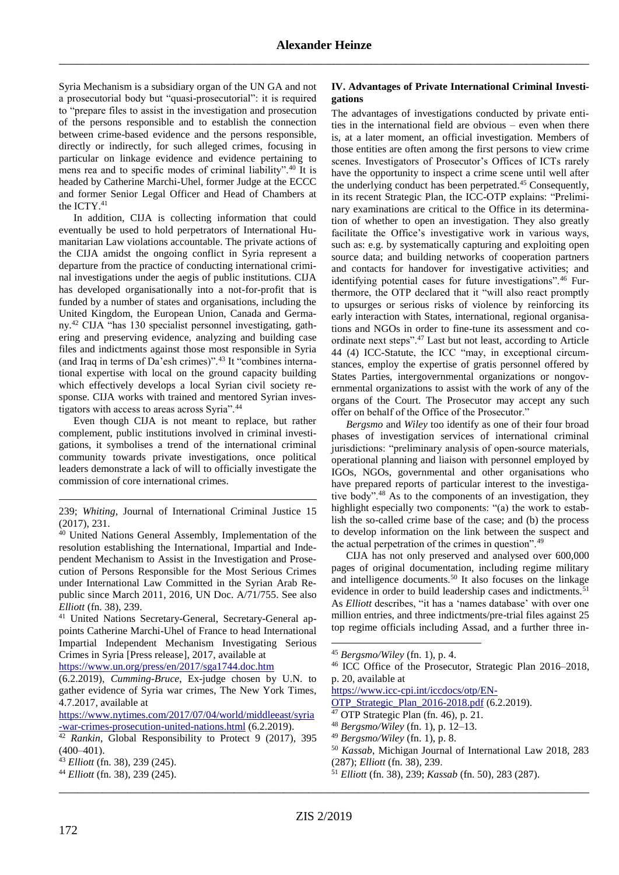Syria Mechanism is a subsidiary organ of the UN GA and not a prosecutorial body but "quasi-prosecutorial": it is required to "prepare files to assist in the investigation and prosecution of the persons responsible and to establish the connection between crime-based evidence and the persons responsible, directly or indirectly, for such alleged crimes, focusing in particular on linkage evidence and evidence pertaining to mens rea and to specific modes of criminal liability".<sup>40</sup> It is headed by Catherine Marchi-Uhel, former Judge at the ECCC and former Senior Legal Officer and Head of Chambers at the ICTY.<sup>41</sup>

In addition, CIJA is collecting information that could eventually be used to hold perpetrators of International Humanitarian Law violations accountable. The private actions of the CIJA amidst the ongoing conflict in Syria represent a departure from the practice of conducting international criminal investigations under the aegis of public institutions. CIJA has developed organisationally into a not-for-profit that is funded by a number of states and organisations, including the United Kingdom, the European Union, Canada and Germany.<sup>42</sup> CIJA "has 130 specialist personnel investigating, gathering and preserving evidence, analyzing and building case files and indictments against those most responsible in Syria (and Iraq in terms of Da'esh crimes)".<sup>43</sup> It "combines international expertise with local on the ground capacity building which effectively develops a local Syrian civil society response. CIJA works with trained and mentored Syrian investigators with access to areas across Syria".<sup>44</sup>

<span id="page-3-2"></span>Even though CIJA is not meant to replace, but rather complement, public institutions involved in criminal investigations, it symbolises a trend of the international criminal community towards private investigations, once political leaders demonstrate a lack of will to officially investigate the commission of core international crimes.

<https://www.un.org/press/en/2017/sga1744.doc.htm>

### **IV. Advantages of Private International Criminal Investigations**

The advantages of investigations conducted by private entities in the international field are obvious – even when there is, at a later moment, an official investigation. Members of those entities are often among the first persons to view crime scenes. Investigators of Prosecutor's Offices of ICTs rarely have the opportunity to inspect a crime scene until well after the underlying conduct has been perpetrated.<sup>45</sup> Consequently, in its recent Strategic Plan, the ICC-OTP explains: "Preliminary examinations are critical to the Office in its determination of whether to open an investigation. They also greatly facilitate the Office's investigative work in various ways, such as: e.g. by systematically capturing and exploiting open source data; and building networks of cooperation partners and contacts for handover for investigative activities; and identifying potential cases for future investigations".<sup>46</sup> Furthermore, the OTP declared that it "will also react promptly to upsurges or serious risks of violence by reinforcing its early interaction with States, international, regional organisations and NGOs in order to fine-tune its assessment and coordinate next steps".<sup>47</sup> Last but not least, according to Article 44 (4) ICC-Statute, the ICC "may, in exceptional circumstances, employ the expertise of gratis personnel offered by States Parties, intergovernmental organizations or nongovernmental organizations to assist with the work of any of the organs of the Court. The Prosecutor may accept any such offer on behalf of the Office of the Prosecutor."

<span id="page-3-0"></span>*Bergsmo* and *Wiley* too identify as one of their four broad phases of investigation services of international criminal jurisdictions: "preliminary analysis of open-source materials, operational planning and liaison with personnel employed by IGOs, NGOs, governmental and other organisations who have prepared reports of particular interest to the investigative body".<sup>48</sup> As to the components of an investigation, they highlight especially two components: "(a) the work to establish the so-called crime base of the case; and (b) the process to develop information on the link between the suspect and the actual perpetration of the crimes in question".<sup>49</sup>

<span id="page-3-1"></span>CIJA has not only preserved and analysed over 600,000 pages of original documentation, including regime military and intelligence documents.<sup>50</sup> It also focuses on the linkage evidence in order to build leadership cases and indictments.<sup>51</sup> As *Elliott* describes, "it has a 'names database' with over one million entries, and three indictments/pre-trial files against 25 top regime officials including Assad, and a further three in-

[https://www.icc-cpi.int/iccdocs/otp/EN-](https://www.icc-cpi.int/iccdocs/otp/EN-OTP_Strategic_Plan_2016-2018.pdf)

- <sup>47</sup> OTP Strategic Plan (fn. [46\)](#page-3-0), p. 21.
- <sup>48</sup> *Bergsmo/Wiley* (fn. [1\)](#page-0-0), p. 12–13.

- <sup>50</sup> *Kassab*, Michigan Journal of International Law 2018, 283 (287); *Elliott* (fn. [38\)](#page-2-1), 239.
- <sup>51</sup> *Elliott* (fn. [38\)](#page-2-1), 239; *Kassab* (fn. [50\)](#page-3-1), 283 (287).

\_\_\_\_\_\_\_\_\_\_\_\_\_\_\_\_\_\_\_\_\_\_\_\_\_\_\_\_\_\_\_\_\_\_\_\_\_\_\_\_\_\_\_\_\_\_\_\_\_\_\_\_\_\_\_\_\_\_\_\_\_\_\_\_\_\_\_\_\_\_\_\_\_\_\_\_\_\_\_\_\_\_\_\_\_

<u>.</u>

<sup>239;</sup> *Whiting*, Journal of International Criminal Justice 15 (2017), 231.

<sup>40</sup> United Nations General Assembly, Implementation of the resolution establishing the International, Impartial and Independent Mechanism to Assist in the Investigation and Prosecution of Persons Responsible for the Most Serious Crimes under International Law Committed in the Syrian Arab Republic since March 2011, 2016, UN Doc. A/71/755. See also *Elliott* (fn. [38\)](#page-2-1), 239.

<sup>41</sup> United Nations Secretary-General, Secretary-General appoints Catherine Marchi-Uhel of France to head International Impartial Independent Mechanism Investigating Serious Crimes in Syria [Press release], 2017, available at

<sup>(6.2.2019),</sup> *Cumming-Bruce*, Ex-judge chosen by U.N. to gather evidence of Syria war crimes, The New York Times, 4.7.2017*,* available at

[https://www.nytimes.com/2017/07/04/world/middleeast/syria](https://www.nytimes.com/2017/07/04/world/middleeast/syria-war-crimes-prosecution-united-nations.html) [-war-crimes-prosecution-united-nations.html](https://www.nytimes.com/2017/07/04/world/middleeast/syria-war-crimes-prosecution-united-nations.html) (6.2.2019).

<sup>&</sup>lt;sup>42</sup> *Rankin*, Global Responsibility to Protect 9 (2017), 395  $(400-401)$ .

<sup>43</sup> *Elliott* (fn. [38\)](#page-2-1), 239 (245).

<sup>44</sup> *Elliott* (fn. [38\)](#page-2-1), 239 (245).

<sup>45</sup> *Bergsmo/Wiley* (fn. [1\)](#page-0-0), p. 4.

<sup>46</sup> ICC Office of the Prosecutor, Strategic Plan 2016–2018, p. 20, available at

[OTP\\_Strategic\\_Plan\\_2016-2018.pdf](https://www.icc-cpi.int/iccdocs/otp/EN-OTP_Strategic_Plan_2016-2018.pdf) (6.2.2019).

<sup>49</sup> *Bergsmo/Wiley* (fn. [1\)](#page-0-0), p. 8.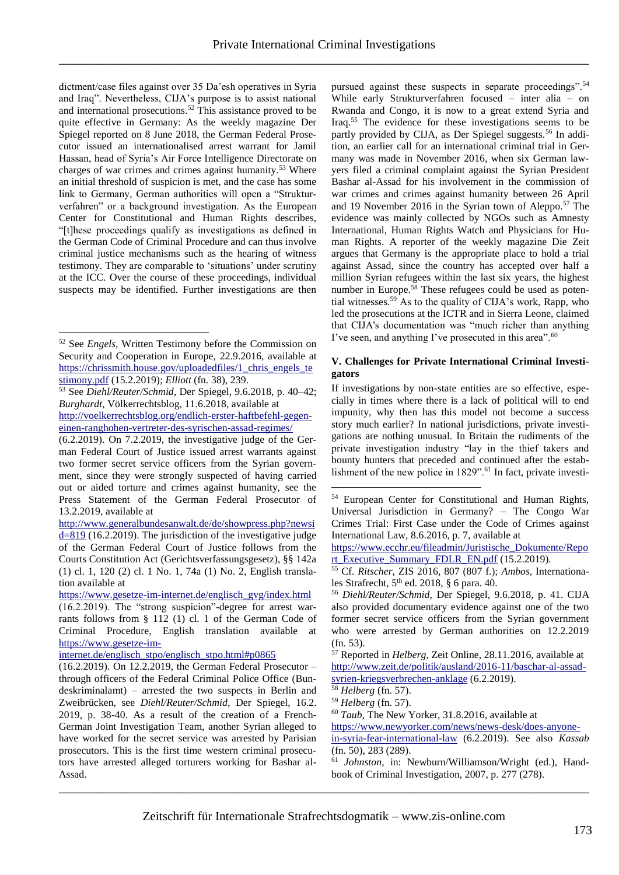dictment/case files against over 35 Da'esh operatives in Syria and Iraq". Nevertheless, CIJA's purpose is to assist national and international prosecutions.<sup>52</sup> This assistance proved to be quite effective in Germany: As the weekly magazine Der Spiegel reported on 8 June 2018, the German Federal Prosecutor issued an internationalised arrest warrant for Jamil Hassan, head of Syria's Air Force Intelligence Directorate on charges of war crimes and crimes against humanity.<sup>53</sup> Where an initial threshold of suspicion is met, and the case has some link to Germany, German authorities will open a "Strukturverfahren" or a background investigation. As the European Center for Constitutional and Human Rights describes, "[t]hese proceedings qualify as investigations as defined in the German Code of Criminal Procedure and can thus involve criminal justice mechanisms such as the hearing of witness testimony. They are comparable to 'situations' under scrutiny at the ICC. Over the course of these proceedings, individual suspects may be identified. Further investigations are then

<u>.</u>

<span id="page-4-0"></span>pursued against these suspects in separate proceedings".<sup>54</sup> While early Strukturverfahren focused – inter alia – on Rwanda and Congo, it is now to a great extend Syria and Iraq.<sup>55</sup> The evidence for these investigations seems to be partly provided by CIJA, as Der Spiegel suggests.<sup>56</sup> In addition, an earlier call for an international criminal trial in Germany was made in November 2016, when six German lawyers filed a criminal complaint against the Syrian President Bashar al-Assad for his involvement in the commission of war crimes and crimes against humanity between 26 April and 19 November 2016 in the Syrian town of Aleppo.<sup>57</sup> The evidence was mainly collected by NGOs such as Amnesty International, Human Rights Watch and Physicians for Human Rights. A reporter of the weekly magazine Die Zeit argues that Germany is the appropriate place to hold a trial against Assad, since the country has accepted over half a million Syrian refugees within the last six years, the highest number in Europe.<sup>58</sup> These refugees could be used as potential witnesses.<sup>59</sup> As to the quality of CIJA's work, Rapp, who led the prosecutions at the ICTR and in Sierra Leone, claimed that CIJA's documentation was "much richer than anything I've seen, and anything I've prosecuted in this area".<sup>60</sup>

### **V. Challenges for Private International Criminal Investigators**

If investigations by non-state entities are so effective, especially in times where there is a lack of political will to end impunity, why then has this model not become a success story much earlier? In national jurisdictions, private investigations are nothing unusual. In Britain the rudiments of the private investigation industry "lay in the thief takers and bounty hunters that preceded and continued after the establishment of the new police in 1829".<sup>61</sup> In fact, private investi-

\_\_\_\_\_\_\_\_\_\_\_\_\_\_\_\_\_\_\_\_\_\_\_\_\_\_\_\_\_\_\_\_\_\_\_\_\_\_\_\_\_\_\_\_\_\_\_\_\_\_\_\_\_\_\_\_\_\_\_\_\_\_\_\_\_\_\_\_\_\_\_\_\_\_\_\_\_\_\_\_\_\_\_\_\_

<span id="page-4-1"></span><u>.</u>

<sup>52</sup> See *Engels*, Written Testimony before the Commission on Security and Cooperation in Europe, 22.9.2016, available at [https://chrissmith.house.gov/uploadedfiles/1\\_chris\\_engels\\_te](https://chrissmith.house.gov/uploadedfiles/1_chris_engels_testimony.pdf) [stimony.pdf](https://chrissmith.house.gov/uploadedfiles/1_chris_engels_testimony.pdf) (15.2.2019); *Elliott* (fn. [38\)](#page-2-1), 239.

<sup>53</sup> See *Diehl/Reuter/Schmid*, Der Spiegel, 9.6.2018, p. 40–42; *Burghardt*, Völkerrechtsblog, 11.6.2018, available at [http://voelkerrechtsblog.org/endlich-erster-haftbefehl-gegen-](http://voelkerrechtsblog.org/endlich-erster-haftbefehl-gegen-einen-ranghohen-vertreter-des-syrischen-assad-regimes/)

[einen-ranghohen-vertreter-des-syrischen-assad-regimes/](http://voelkerrechtsblog.org/endlich-erster-haftbefehl-gegen-einen-ranghohen-vertreter-des-syrischen-assad-regimes/)

<sup>(6.2.2019).</sup> On 7.2.2019, the investigative judge of the German Federal Court of Justice issued arrest warrants against two former secret service officers from the Syrian government, since they were strongly suspected of having carried out or aided torture and crimes against humanity, see the Press Statement of the German Federal Prosecutor of 13.2.2019, available at

[http://www.generalbundesanwalt.de/de/showpress.php?newsi](http://www.generalbundesanwalt.de/de/showpress.php?newsid=819) [d=819](http://www.generalbundesanwalt.de/de/showpress.php?newsid=819) (16.2.2019). The jurisdiction of the investigative judge of the German Federal Court of Justice follows from the Courts Constitution Act (Gerichtsverfassungsgesetz), §§ 142a (1) cl. 1, 120 (2) cl. 1 No. 1, 74a (1) No. 2, English translation available at

[https://www.gesetze-im-internet.de/englisch\\_gvg/index.html](https://www.gesetze-im-internet.de/englisch_gvg/index.html)

<sup>(16.2.2019).</sup> The "strong suspicion"-degree for arrest warrants follows from § 112 (1) cl. 1 of the German Code of Criminal Procedure, English translation available at [https://www.gesetze-im-](https://www.gesetze-im-internet.de/englisch_stpo/englisch_stpo.html#p0865)

[internet.de/englisch\\_stpo/englisch\\_stpo.html#p0865](https://www.gesetze-im-internet.de/englisch_stpo/englisch_stpo.html#p0865)

<sup>(16.2.2019).</sup> On 12.2.2019, the German Federal Prosecutor – through officers of the Federal Criminal Police Office (Bundeskriminalamt) – arrested the two suspects in Berlin and Zweibrücken, see *Diehl/Reuter/Schmid*, Der Spiegel, 16.2. 2019, p. 38-40. As a result of the creation of a French-German Joint Investigation Team, another Syrian alleged to have worked for the secret service was arrested by Parisian prosecutors. This is the first time western criminal prosecutors have arrested alleged torturers working for Bashar al-Assad.

<sup>54</sup> European Center for Constitutional and Human Rights, Universal Jurisdiction in Germany? – The Congo War Crimes Trial: First Case under the Code of Crimes against International Law, 8.6.2016, p. 7, available at

[https://www.ecchr.eu/fileadmin/Juristische\\_Dokumente/Repo](https://www.ecchr.eu/fileadmin/Juristische_Dokumente/Report_Executive_Summary_FDLR_EN.pdf) [rt\\_Executive\\_Summary\\_FDLR\\_EN.pdf](https://www.ecchr.eu/fileadmin/Juristische_Dokumente/Report_Executive_Summary_FDLR_EN.pdf) (15.2.2019).

<sup>55</sup> Cf. *Ritscher*, ZIS 2016, 807 (807 f.); *Ambos*, Internationales Strafrecht, 5<sup>th</sup> ed. 2018, § 6 para. 40.

<sup>56</sup> *Diehl/Reuter/Schmid*, Der Spiegel, 9.6.2018, p. 41. CIJA also provided documentary evidence against one of the two former secret service officers from the Syrian government who were arrested by German authorities on 12.2.2019 (fn. 53).

<sup>57</sup> Reported in *Helberg*, Zeit Online, 28.11.2016, available at [http://www.zeit.de/politik/ausland/2016-11/baschar-al-assad](http://www.zeit.de/politik/ausland/2016-11/baschar-al-assad-syrien-kriegsverbrechen-anklage)[syrien-kriegsverbrechen-anklage](http://www.zeit.de/politik/ausland/2016-11/baschar-al-assad-syrien-kriegsverbrechen-anklage) (6.2.2019).

<sup>58</sup> *Helberg* (fn. [57\)](#page-4-0).

<sup>59</sup> *Helberg* (fn. [57\)](#page-4-0).

<sup>60</sup> *Taub*, The New Yorker, 31.8.2016, available at

[https://www.newyorker.com/news/news-desk/does-anyone](https://www.newyorker.com/news/news-desk/does-anyone-in-syria-fear-international-law)[in-syria-fear-international-law](https://www.newyorker.com/news/news-desk/does-anyone-in-syria-fear-international-law) (6.2.2019). See also *Kassab* (fn. [50\)](#page-3-1), 283 (289).

<sup>61</sup> *Johnston*, in: Newburn/Williamson/Wright (ed.), Handbook of Criminal Investigation, 2007, p. 277 (278).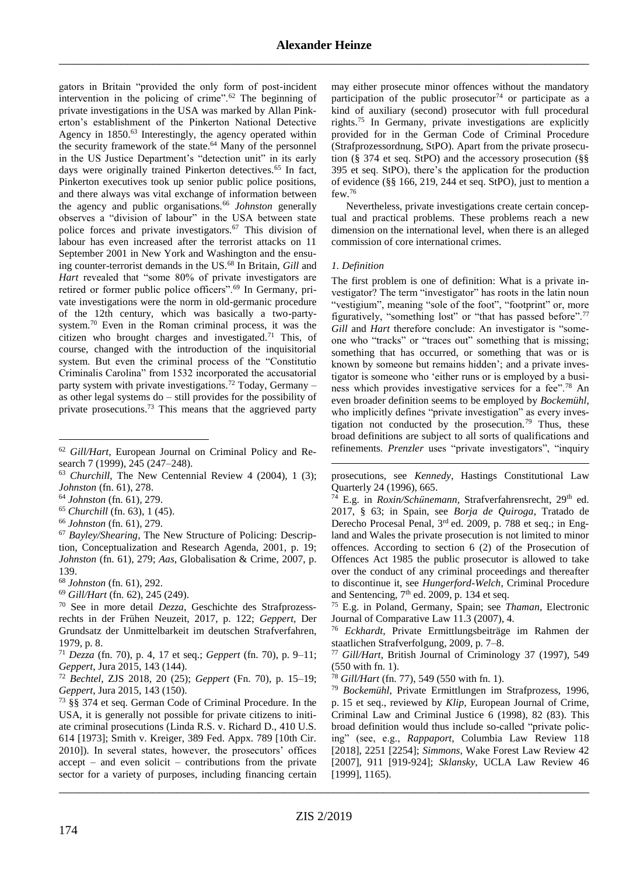<span id="page-5-0"></span>gators in Britain "provided the only form of post-incident intervention in the policing of crime".<sup>62</sup> The beginning of private investigations in the USA was marked by Allan Pinkerton's establishment of the Pinkerton National Detective Agency in 1850.<sup>63</sup> Interestingly, the agency operated within the security framework of the state.<sup>64</sup> Many of the personnel in the US Justice Department's "detection unit" in its early days were originally trained Pinkerton detectives.<sup>65</sup> In fact, Pinkerton executives took up senior public police positions, and there always was vital exchange of information between the agency and public organisations.<sup>66</sup> *Johnston* generally observes a "division of labour" in the USA between state police forces and private investigators.<sup>67</sup> This division of labour has even increased after the terrorist attacks on 11 September 2001 in New York and Washington and the ensuing counter-terrorist demands in the US.<sup>68</sup> In Britain, *Gill* and *Hart* revealed that "some 80% of private investigators are retired or former public police officers".<sup>69</sup> In Germany, private investigations were the norm in old-germanic procedure of the 12th century, which was basically a two-partysystem.<sup>70</sup> Even in the Roman criminal process, it was the citizen who brought charges and investigated.<sup>71</sup> This, of course, changed with the introduction of the inquisitorial system. But even the criminal process of the "Constitutio Criminalis Carolina" from 1532 incorporated the accusatorial party system with private investigations.<sup>72</sup> Today, Germany  $$ as other legal systems do – still provides for the possibility of private prosecutions.<sup>73</sup> This means that the aggrieved party

<span id="page-5-2"></span>1

<span id="page-5-1"></span>may either prosecute minor offences without the mandatory participation of the public prosecutor<sup>74</sup> or participate as a kind of auxiliary (second) prosecutor with full procedural rights.<sup>75</sup> In Germany, private investigations are explicitly provided for in the German Code of Criminal Procedure (Strafprozessordnung, StPO). Apart from the private prosecution (§ 374 et seq. StPO) and the accessory prosecution (§§ 395 et seq. StPO), there's the application for the production of evidence (§§ 166, 219, 244 et seq. StPO), just to mention a few.<sup>76</sup>

Nevertheless, private investigations create certain conceptual and practical problems. These problems reach a new dimension on the international level, when there is an alleged commission of core international crimes.

#### *1. Definition*

<u>.</u>

<span id="page-5-3"></span>The first problem is one of definition: What is a private investigator? The term "investigator" has roots in the latin noun "vestigium", meaning "sole of the foot", "footprint" or, more figuratively, "something lost" or "that has passed before".<sup>77</sup> *Gill* and *Hart* therefore conclude: An investigator is "someone who "tracks" or "traces out" something that is missing; something that has occurred, or something that was or is known by someone but remains hidden'; and a private investigator is someone who 'either runs or is employed by a business which provides investigative services for a fee".<sup>78</sup> An even broader definition seems to be employed by *Bockemühl*, who implicitly defines "private investigation" as every investigation not conducted by the prosecution.<sup>79</sup> Thus, these broad definitions are subject to all sorts of qualifications and refinements. *Prenzler* uses "private investigators", "inquiry

prosecutions, see *Kennedy*, Hastings Constitutional Law Quarterly 24 (1996), 665.

<sup>74</sup> E.g. in *Roxin/Schünemann*, Strafverfahrensrecht, 29<sup>th</sup> ed. 2017, § 63; in Spain, see *Borja de Quiroga*, Tratado de Derecho Procesal Penal, 3rd ed. 2009, p. 788 et seq.; in England and Wales the private prosecution is not limited to minor offences. According to section 6 (2) of the Prosecution of Offences Act 1985 the public prosecutor is allowed to take over the conduct of any criminal proceedings and thereafter to discontinue it, see *Hungerford-Welch*, Criminal Procedure and Sentencing,  $7<sup>th</sup>$  ed. 2009, p. 134 et seq.

<sup>75</sup> E.g. in Poland, Germany, Spain; see *Thaman*, Electronic Journal of Comparative Law 11.3 (2007), 4.

<sup>76</sup> *Eckhardt*, Private Ermittlungsbeiträge im Rahmen der staatlichen Strafverfolgung, 2009, p. 7–8.

<sup>77</sup> *Gill/Hart*, British Journal of Criminology 37 (1997), 549 (550 with fn. 1).

<sup>78</sup> *Gill/Hart* (fn. [77\)](#page-5-3), 549 (550 with fn. 1).

<sup>79</sup> *Bockemühl*, Private Ermittlungen im Strafprozess, 1996, p. 15 et seq., reviewed by *Klip*, European Journal of Crime, Criminal Law and Criminal Justice 6 (1998), 82 (83). This broad definition would thus include so-called "private policing" (see, e.g., *Rappaport*, Columbia Law Review 118 [2018], 2251 [2254]; *Simmons*, Wake Forest Law Review 42 [2007], 911 [919-924]; *Sklansky*, UCLA Law Review 46 [1999], 1165).

<sup>62</sup> *Gill/Hart*, European Journal on Criminal Policy and Research 7 (1999), 245 (247–248).

<sup>63</sup> *Churchill*, The New Centennial Review 4 (2004), 1 (3); *Johnston* (fn. [61\)](#page-4-1), 278.

<sup>64</sup> *Johnston* (fn. [61\)](#page-4-1), 279.

<sup>65</sup> *Churchill* (fn. [63\)](#page-5-0), 1 (45).

<sup>66</sup> *Johnston* (fn. [61\)](#page-4-1), 279.

<sup>67</sup> *Bayley/Shearing*, The New Structure of Policing: Description, Conceptualization and Research Agenda, 2001, p. 19; *Johnston* (fn. [61\)](#page-4-1), 279; *Aas*, Globalisation & Crime, 2007, p. 139.

<sup>68</sup> *Johnston* (fn. [61\)](#page-4-1), 292.

<sup>69</sup> *Gill/Hart* (fn. [62\)](#page-5-1), 245 (249).

<sup>70</sup> See in more detail *Dezza*, Geschichte des Strafprozessrechts in der Frühen Neuzeit, 2017, p. 122; *Geppert*, Der Grundsatz der Unmittelbarkeit im deutschen Strafverfahren, 1979, p. 8.

<sup>71</sup> *Dezza* (fn. [70\)](#page-5-2), p. 4, 17 et seq.; *Geppert* (fn. [70\)](#page-5-2), p. 9–11; *Geppert*, Jura 2015, 143 (144).

<sup>72</sup> *Bechtel*, ZJS 2018, 20 (25); *Geppert* (Fn. [70\)](#page-5-2), p. 15–19; *Geppert*, Jura 2015, 143 (150).

<sup>73</sup> §§ 374 et seq. German Code of Criminal Procedure. In the USA, it is generally not possible for private citizens to initiate criminal prosecutions (Linda R.S. v. Richard D., 410 U.S. 614 [1973]; Smith v. Kreiger, 389 Fed. Appx. 789 [10th Cir. 2010]). In several states, however, the prosecutors' offices accept – and even solicit – contributions from the private sector for a variety of purposes, including financing certain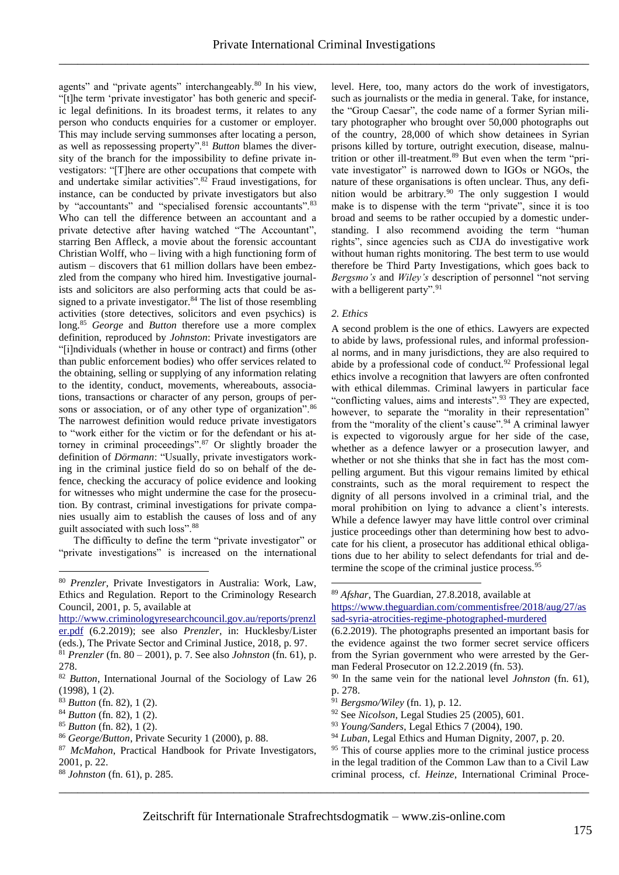agents" and "private agents" interchangeably.<sup>80</sup> In his view, "[t]he term 'private investigator' has both generic and specific legal definitions. In its broadest terms, it relates to any person who conducts enquiries for a customer or employer. This may include serving summonses after locating a person, as well as repossessing property".<sup>81</sup> *Button* blames the diversity of the branch for the impossibility to define private investigators: "[T]here are other occupations that compete with and undertake similar activities".<sup>82</sup> Fraud investigations, for instance, can be conducted by private investigators but also by "accountants" and "specialised forensic accountants".<sup>83</sup> Who can tell the difference between an accountant and a private detective after having watched "The Accountant", starring Ben Affleck, a movie about the forensic accountant Christian Wolff, who – living with a high functioning form of autism – discovers that 61 million dollars have been embezzled from the company who hired him. Investigative journalists and solicitors are also performing acts that could be assigned to a private investigator.<sup>84</sup> The list of those resembling activities (store detectives, solicitors and even psychics) is long.<sup>85</sup> *George* and *Button* therefore use a more complex definition, reproduced by *Johnston*: Private investigators are "[i]ndividuals (whether in house or contract) and firms (other than public enforcement bodies) who offer services related to the obtaining, selling or supplying of any information relating to the identity, conduct, movements, whereabouts, associations, transactions or character of any person, groups of persons or association, or of any other type of organization".<sup>86</sup> The narrowest definition would reduce private investigators to "work either for the victim or for the defendant or his attorney in criminal proceedings".<sup>87</sup> Or slightly broader the definition of *Dörmann*: "Usually, private investigators working in the criminal justice field do so on behalf of the defence, checking the accuracy of police evidence and looking for witnesses who might undermine the case for the prosecution. By contrast, criminal investigations for private companies usually aim to establish the causes of loss and of any guilt associated with such loss".<sup>88</sup>

<span id="page-6-5"></span>The difficulty to define the term "private investigator" or "private investigations" is increased on the international

[http://www.criminologyresearchcouncil.gov.au/reports/prenzl](http://www.criminologyresearchcouncil.gov.au/reports/prenzler.pdf) [er.pdf](http://www.criminologyresearchcouncil.gov.au/reports/prenzler.pdf) (6.2.2019); see also *Prenzler*, in: Hucklesby/Lister (eds.), The Private Sector and Criminal Justice, 2018, p. 97.

- <sup>82</sup> *Button*, International Journal of the Sociology of Law 26 (1998), 1 (2).
- <sup>83</sup> *Button* (fn. [82\)](#page-6-1), 1 (2).

<u>.</u>

- <sup>84</sup> *Button* (fn. [82\)](#page-6-1), 1 (2).
- <sup>85</sup> *Button* (fn. [82\)](#page-6-1), 1 (2).
- <sup>86</sup> *George/Button*, Private Security 1 (2000), p. 88.
- <sup>87</sup> *McMahon*, Practical Handbook for Private Investigators, 2001, p. 22.
- <sup>88</sup> *Johnston* (fn. [61\)](#page-4-1), p. 285.

<span id="page-6-1"></span><span id="page-6-0"></span>level. Here, too, many actors do the work of investigators, such as journalists or the media in general. Take, for instance, the "Group Caesar", the code name of a former Syrian military photographer who brought over 50,000 photographs out of the country, 28,000 of which show detainees in Syrian prisons killed by torture, outright execution, disease, malnutrition or other ill-treatment.<sup>89</sup> But even when the term "private investigator" is narrowed down to IGOs or NGOs, the nature of these organisations is often unclear. Thus, any definition would be arbitrary.<sup>90</sup> The only suggestion I would make is to dispense with the term "private", since it is too broad and seems to be rather occupied by a domestic understanding. I also recommend avoiding the term "human rights", since agencies such as CIJA do investigative work without human rights monitoring. The best term to use would therefore be Third Party Investigations, which goes back to *Bergsmo's* and *Wiley's* description of personnel "not serving with a belligerent party".<sup>91</sup>

#### *2. Ethics*

<span id="page-6-4"></span><span id="page-6-3"></span>A second problem is the one of ethics. Lawyers are expected to abide by laws, professional rules, and informal professional norms, and in many jurisdictions, they are also required to abide by a professional code of conduct.<sup>92</sup> Professional legal ethics involve a recognition that lawyers are often confronted with ethical dilemmas. Criminal lawyers in particular face "conflicting values, aims and interests".<sup>93</sup> They are expected, however, to separate the "morality in their representation" from the "morality of the client's cause".<sup>94</sup> A criminal lawyer is expected to vigorously argue for her side of the case, whether as a defence lawyer or a prosecution lawyer, and whether or not she thinks that she in fact has the most compelling argument. But this vigour remains limited by ethical constraints, such as the moral requirement to respect the dignity of all persons involved in a criminal trial, and the moral prohibition on lying to advance a client's interests. While a defence lawyer may have little control over criminal justice proceedings other than determining how best to advocate for his client, a prosecutor has additional ethical obligations due to her ability to select defendants for trial and determine the scope of the criminal justice process.<sup>95</sup>

- <sup>91</sup> *Bergsmo/Wiley* (fn. [1\)](#page-0-0), p. 12.
- <sup>92</sup> See *Nicolson*, Legal Studies 25 (2005), 601.
- <sup>93</sup> *Young/Sanders*, Legal Ethics 7 (2004), 190.
- <sup>94</sup> *Luban*, Legal Ethics and Human Dignity, 2007, p. 20.

\_\_\_\_\_\_\_\_\_\_\_\_\_\_\_\_\_\_\_\_\_\_\_\_\_\_\_\_\_\_\_\_\_\_\_\_\_\_\_\_\_\_\_\_\_\_\_\_\_\_\_\_\_\_\_\_\_\_\_\_\_\_\_\_\_\_\_\_\_\_\_\_\_\_\_\_\_\_\_\_\_\_\_\_\_

<sup>80</sup> *Prenzler*, Private Investigators in Australia: Work, Law, Ethics and Regulation. Report to the Criminology Research Council, 2001, p. 5, available at

<sup>81</sup> *Prenzler* (fn. [80](#page-6-0) – 2001), p. 7. See also *Johnston* (fn. [61\)](#page-4-1), p. 278.

<span id="page-6-2"></span><sup>89</sup> *Afshar*, The Guardian, 27.8.2018, available at [https://www.theguardian.com/commentisfree/2018/aug/27/as](https://www.theguardian.com/commentisfree/2018/aug/27/assad-syria-atrocities-regime-photographed-murdered) [sad-syria-atrocities-regime-photographed-murdered](https://www.theguardian.com/commentisfree/2018/aug/27/assad-syria-atrocities-regime-photographed-murdered)

<sup>(6.2.2019).</sup> The photographs presented an important basis for the evidence against the two former secret service officers from the Syrian government who were arrested by the German Federal Prosecutor on 12.2.2019 (fn. 53).

<sup>90</sup> In the same vein for the national level *Johnston* (fn. [61\)](#page-4-1), p. 278.

<sup>&</sup>lt;sup>95</sup> This of course applies more to the criminal justice process in the legal tradition of the Common Law than to a Civil Law criminal process, cf*. Heinze*, International Criminal Proce-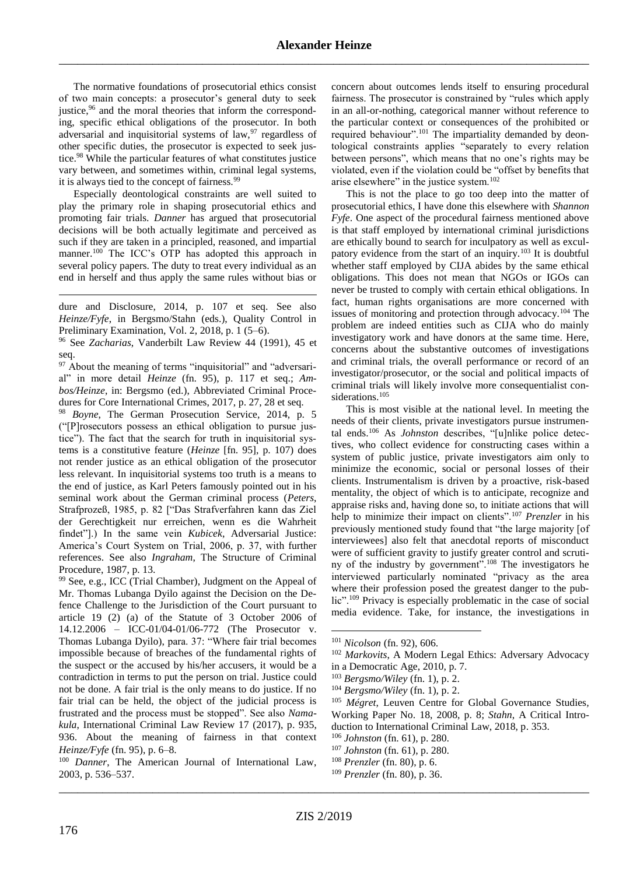The normative foundations of prosecutorial ethics consist of two main concepts: a prosecutor's general duty to seek justice,<sup>96</sup> and the moral theories that inform the corresponding, specific ethical obligations of the prosecutor. In both adversarial and inquisitorial systems of law,<sup>97</sup> regardless of other specific duties, the prosecutor is expected to seek justice.<sup>98</sup> While the particular features of what constitutes justice vary between, and sometimes within, criminal legal systems, it is always tied to the concept of fairness.<sup>99</sup>

Especially deontological constraints are well suited to play the primary role in shaping prosecutorial ethics and promoting fair trials. *Danner* has argued that prosecutorial decisions will be both actually legitimate and perceived as such if they are taken in a principled, reasoned, and impartial manner.<sup>100</sup> The ICC's OTP has adopted this approach in several policy papers. The duty to treat every individual as an end in herself and thus apply the same rules without bias or

<span id="page-7-0"></span>dure and Disclosure, 2014, p. 107 et seq. See also *Heinze/Fyfe*, in Bergsmo/Stahn (eds.), Quality Control in Preliminary Examination, Vol. 2, 2018, p. 1 (5–6).

<sup>96</sup> See *Zacharias*, Vanderbilt Law Review 44 (1991), 45 et seq.

 $97$  About the meaning of terms "inquisitorial" and "adversarial" in more detail *Heinze* (fn. [95\)](#page-6-2), p. 117 et seq.; *Ambos/Heinze*, in: Bergsmo (ed.), Abbreviated Criminal Procedures for Core International Crimes, 2017, p. 27, 28 et seq*.*

<sup>98</sup> *Boyne*, The German Prosecution Service, 2014, p. 5 ("[P]rosecutors possess an ethical obligation to pursue justice"). The fact that the search for truth in inquisitorial systems is a constitutive feature (*Heinze* [fn. [95\]](#page-6-2), p. 107) does not render justice as an ethical obligation of the prosecutor less relevant. In inquisitorial systems too truth is a means to the end of justice, as Karl Peters famously pointed out in his seminal work about the German criminal process (*Peters*, Strafprozeß, 1985, p. 82 ["Das Strafverfahren kann das Ziel der Gerechtigkeit nur erreichen, wenn es die Wahrheit findet"].) In the same vein *Kubicek*, Adversarial Justice: America's Court System on Trial, 2006, p. 37, with further references. See also *Ingraham*, The Structure of Criminal Procedure, 1987, p. 13.

<sup>99</sup> See, e.g., ICC (Trial Chamber), Judgment on the Appeal of Mr. Thomas Lubanga Dyilo against the Decision on the Defence Challenge to the Jurisdiction of the Court pursuant to article 19 (2) (a) of the Statute of 3 October 2006 of 14.12.2006 – ICC-01/04-01/06-772 (The Prosecutor v. Thomas Lubanga Dyilo), para. 37: "Where fair trial becomes impossible because of breaches of the fundamental rights of the suspect or the accused by his/her accusers, it would be a contradiction in terms to put the person on trial. Justice could not be done. A fair trial is the only means to do justice. If no fair trial can be held, the object of the judicial process is frustrated and the process must be stopped". See also *Namakula*, International Criminal Law Review 17 (2017), p. 935, 936. About the meaning of fairness in that context *Heinze/Fyfe* (fn. [95\)](#page-6-2), p. 6–8.

<sup>100</sup> *Danner*, The American Journal of International Law, 2003, p. 536–537.

concern about outcomes lends itself to ensuring procedural fairness. The prosecutor is constrained by "rules which apply in an all-or-nothing, categorical manner without reference to the particular context or consequences of the prohibited or required behaviour".<sup>101</sup> The impartiality demanded by deontological constraints applies "separately to every relation between persons", which means that no one's rights may be violated, even if the violation could be "offset by benefits that arise elsewhere" in the justice system.<sup>102</sup>

This is not the place to go too deep into the matter of prosecutorial ethics, I have done this elsewhere with *Shannon Fyfe*. One aspect of the procedural fairness mentioned above is that staff employed by international criminal jurisdictions are ethically bound to search for inculpatory as well as exculpatory evidence from the start of an inquiry.<sup>103</sup> It is doubtful whether staff employed by CIJA abides by the same ethical obligations. This does not mean that NGOs or IGOs can never be trusted to comply with certain ethical obligations. In fact, human rights organisations are more concerned with issues of monitoring and protection through advocacy.<sup>104</sup> The problem are indeed entities such as CIJA who do mainly investigatory work and have donors at the same time. Here, concerns about the substantive outcomes of investigations and criminal trials, the overall performance or record of an investigator/prosecutor, or the social and political impacts of criminal trials will likely involve more consequentialist considerations.<sup>105</sup>

This is most visible at the national level. In meeting the needs of their clients, private investigators pursue instrumental ends.<sup>106</sup> As *Johnston* describes, "[u]nlike police detectives, who collect evidence for constructing cases within a system of public justice, private investigators aim only to minimize the economic, social or personal losses of their clients. Instrumentalism is driven by a proactive, risk-based mentality, the object of which is to anticipate, recognize and appraise risks and, having done so, to initiate actions that will help to minimize their impact on clients".<sup>107</sup> *Prenzler* in his previously mentioned study found that "the large majority [of interviewees] also felt that anecdotal reports of misconduct were of sufficient gravity to justify greater control and scrutiny of the industry by government".<sup>108</sup> The investigators he interviewed particularly nominated "privacy as the area where their profession posed the greatest danger to the public".<sup>109</sup> Privacy is especially problematic in the case of social media evidence. Take, for instance, the investigations in

1

<sup>101</sup> *Nicolson* (fn. [92\)](#page-6-3), 606.

<sup>102</sup> *Markovits*, A Modern Legal Ethics: Adversary Advocacy in a Democratic Age, 2010, p. 7.

<sup>103</sup> *Bergsmo/Wiley* (fn. [1\)](#page-0-0), p. 2.

<sup>104</sup> *Bergsmo/Wiley* (fn. [1\)](#page-0-0), p. 2.

<sup>105</sup> *Mégret*, Leuven Centre for Global Governance Studies*,*  Working Paper No. 18, 2008, p. 8; *Stahn*, A Critical Introduction to International Criminal Law, 2018, p. 353.

<sup>106</sup> *Johnston* (fn. [61\)](#page-4-1), p. 280.

<sup>107</sup> *Johnston* (fn. [61\)](#page-4-1), p. 280.

<sup>108</sup> *Prenzler* (fn[. 80\)](#page-6-0), p. 6.

\_\_\_\_\_\_\_\_\_\_\_\_\_\_\_\_\_\_\_\_\_\_\_\_\_\_\_\_\_\_\_\_\_\_\_\_\_\_\_\_\_\_\_\_\_\_\_\_\_\_\_\_\_\_\_\_\_\_\_\_\_\_\_\_\_\_\_\_\_\_\_\_\_\_\_\_\_\_\_\_\_\_\_\_\_ <sup>109</sup> *Prenzler* (fn[. 80\)](#page-6-0), p. 36.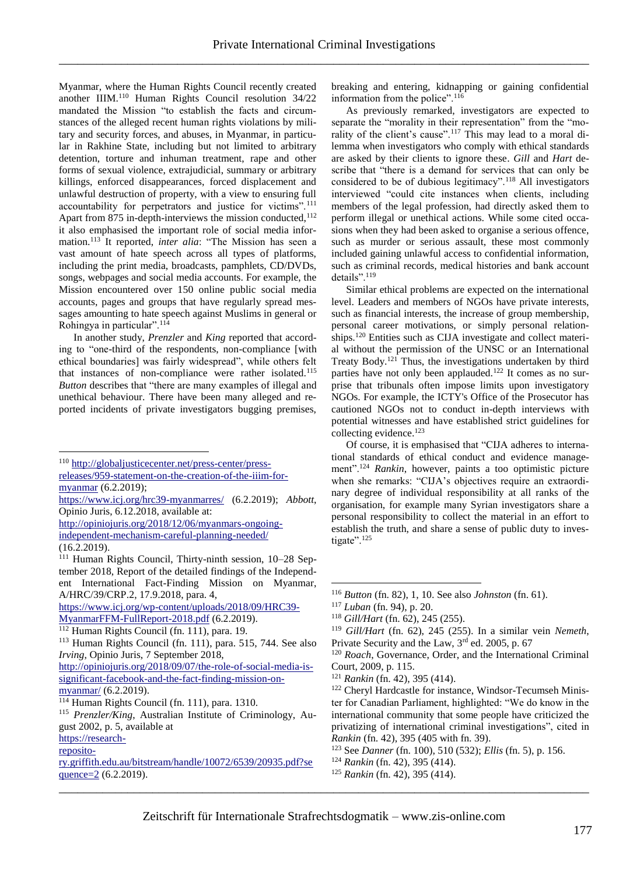Myanmar, where the Human Rights Council recently created another IIIM.<sup>110</sup> Human Rights Council resolution 34/22 mandated the Mission "to establish the facts and circumstances of the alleged recent human rights violations by military and security forces, and abuses, in Myanmar, in particular in Rakhine State, including but not limited to arbitrary detention, torture and inhuman treatment, rape and other forms of sexual violence, extrajudicial, summary or arbitrary killings, enforced disappearances, forced displacement and unlawful destruction of property, with a view to ensuring full accountability for perpetrators and justice for victims".<sup>111</sup> Apart from 875 in-depth-interviews the mission conducted,<sup>112</sup> it also emphasised the important role of social media information.<sup>113</sup> It reported, *inter alia*: "The Mission has seen a vast amount of hate speech across all types of platforms, including the print media, broadcasts, pamphlets, CD/DVDs, songs, webpages and social media accounts. For example, the Mission encountered over 150 online public social media accounts, pages and groups that have regularly spread messages amounting to hate speech against Muslims in general or Rohingya in particular".<sup>114</sup>

In another study, *Prenzler* and *King* reported that according to "one-third of the respondents, non-compliance [with ethical boundaries] was fairly widespread", while others felt that instances of non-compliance were rather isolated.<sup>115</sup> *Button* describes that "there are many examples of illegal and unethical behaviour. There have been many alleged and reported incidents of private investigators bugging premises,

[http://opiniojuris.org/2018/12/06/myanmars-ongoing](http://opiniojuris.org/2018/12/06/myanmars-ongoing-independent-mechanism-careful-planning-needed/)[independent-mechanism-careful-planning-needed/](http://opiniojuris.org/2018/12/06/myanmars-ongoing-independent-mechanism-careful-planning-needed/) (16.2.2019).

[https://www.icj.org/wp-content/uploads/2018/09/HRC39-](https://www.icj.org/wp-content/uploads/2018/09/HRC39-MyanmarFFM-FullReport-2018.pdf) [MyanmarFFM-FullReport-2018.pdf](https://www.icj.org/wp-content/uploads/2018/09/HRC39-MyanmarFFM-FullReport-2018.pdf) (6.2.2019).

<u>.</u>

breaking and entering, kidnapping or gaining confidential information from the police".<sup>116</sup>

As previously remarked, investigators are expected to separate the "morality in their representation" from the "morality of the client's cause".<sup>117</sup> This may lead to a moral dilemma when investigators who comply with ethical standards are asked by their clients to ignore these. *Gill* and *Hart* describe that "there is a demand for services that can only be considered to be of dubious legitimacy".<sup>118</sup> All investigators interviewed "could cite instances when clients, including members of the legal profession, had directly asked them to perform illegal or unethical actions. While some cited occasions when they had been asked to organise a serious offence, such as murder or serious assault, these most commonly included gaining unlawful access to confidential information, such as criminal records, medical histories and bank account details".<sup>119</sup>

<span id="page-8-0"></span>Similar ethical problems are expected on the international level. Leaders and members of NGOs have private interests, such as financial interests, the increase of group membership, personal career motivations, or simply personal relationships.<sup>120</sup> Entities such as CIJA investigate and collect material without the permission of the UNSC or an International Treaty Body.<sup>121</sup> Thus, the investigations undertaken by third parties have not only been applauded.<sup>122</sup> It comes as no surprise that tribunals often impose limits upon investigatory NGOs. For example, the ICTY's Office of the Prosecutor has cautioned NGOs not to conduct in-depth interviews with potential witnesses and have established strict guidelines for collecting evidence.<sup>123</sup>

Of course, it is emphasised that "CIJA adheres to international standards of ethical conduct and evidence management".<sup>124</sup> *Rankin*, however, paints a too optimistic picture when she remarks: "CIJA's objectives require an extraordinary degree of individual responsibility at all ranks of the organisation, for example many Syrian investigators share a personal responsibility to collect the material in an effort to establish the truth, and share a sense of public duty to investigate".<sup>125</sup>

- <sup>124</sup> *Rankin* (fn[. 42\)](#page-3-2), 395 (414).
- <sup>125</sup> *Rankin* (fn[. 42\)](#page-3-2), 395 (414).

\_\_\_\_\_\_\_\_\_\_\_\_\_\_\_\_\_\_\_\_\_\_\_\_\_\_\_\_\_\_\_\_\_\_\_\_\_\_\_\_\_\_\_\_\_\_\_\_\_\_\_\_\_\_\_\_\_\_\_\_\_\_\_\_\_\_\_\_\_\_\_\_\_\_\_\_\_\_\_\_\_\_\_\_\_

<sup>110</sup> [http://globaljusticecenter.net/press-center/press-](http://globaljusticecenter.net/press-center/press-releases/959-statement-on-the-creation-of-the-iiim-for-myanmar)

[releases/959-statement-on-the-creation-of-the-iiim-for](http://globaljusticecenter.net/press-center/press-releases/959-statement-on-the-creation-of-the-iiim-for-myanmar)[myanmar](http://globaljusticecenter.net/press-center/press-releases/959-statement-on-the-creation-of-the-iiim-for-myanmar) (6.2.2019);

<https://www.icj.org/hrc39-myanmarres/> (6.2.2019); *Abbott*, Opinio Juris, 6.12.2018, available at:

<sup>111</sup> Human Rights Council, Thirty-ninth session, 10–28 September 2018, Report of the detailed findings of the Independent International Fact-Finding Mission on Myanmar, A/HRC/39/CRP.2, 17.9.2018, para. 4,

 $112$  Human Rights Council (fn. [111\)](#page-8-0), para. 19.

<sup>113</sup> Human Rights Council (fn. [111\)](#page-8-0), para. 515, 744. See also *Irving*, Opinio Juris, 7 September 2018,

[http://opiniojuris.org/2018/09/07/the-role-of-social-media-is](http://opiniojuris.org/2018/09/07/the-role-of-social-media-is-significant-facebook-and-the-fact-finding-mission-on-myanmar/)[significant-facebook-and-the-fact-finding-mission-on](http://opiniojuris.org/2018/09/07/the-role-of-social-media-is-significant-facebook-and-the-fact-finding-mission-on-myanmar/)[myanmar/](http://opiniojuris.org/2018/09/07/the-role-of-social-media-is-significant-facebook-and-the-fact-finding-mission-on-myanmar/) (6.2.2019).

<sup>114</sup> Human Rights Council (fn. [111\)](#page-8-0), para. 1310.

<sup>&</sup>lt;sup>115</sup> *Prenzler/King*, Australian Institute of Criminology, August 2002, p. 5, available at

[https://research](https://research-repository.griffith.edu.au/bitstream/handle/10072/6539/20935.pdf?sequence=2)[reposito-](https://research-repository.griffith.edu.au/bitstream/handle/10072/6539/20935.pdf?sequence=2)

[ry.griffith.edu.au/bitstream/handle/10072/6539/20935.pdf?se](https://research-repository.griffith.edu.au/bitstream/handle/10072/6539/20935.pdf?sequence=2) [quence=2](https://research-repository.griffith.edu.au/bitstream/handle/10072/6539/20935.pdf?sequence=2) (6.2.2019).

<sup>116</sup> *Button* (fn. [82\)](#page-6-1), 1, 10. See also *Johnston* (fn. [61\)](#page-4-1).

<sup>117</sup> *Luban* (fn. [94\)](#page-6-4), p. 20.

<sup>118</sup> *Gill/Hart* (fn. [62\)](#page-5-1), 245 (255).

<sup>119</sup> *Gill/Hart* (fn. [62\)](#page-5-1), 245 (255). In a similar vein *Nemeth*, Private Security and the Law, 3rd ed. 2005, p. 67

<sup>120</sup> *Roach*, Governance, Order, and the International Criminal Court, 2009, p. 115.

<sup>121</sup> *Rankin* (fn[. 42\)](#page-3-2), 395 (414).

<sup>122</sup> Cheryl Hardcastle for instance, Windsor-Tecumseh Minister for Canadian Parliament, highlighted: "We do know in the international community that some people have criticized the privatizing of international criminal investigations", cited in *Rankin* (fn. [42\)](#page-3-2), 395 (405 with fn. 39).

<sup>123</sup> See *Danner* (fn. [100\)](#page-7-0), 510 (532); *Ellis* (fn. [5\)](#page-0-1), p. 156.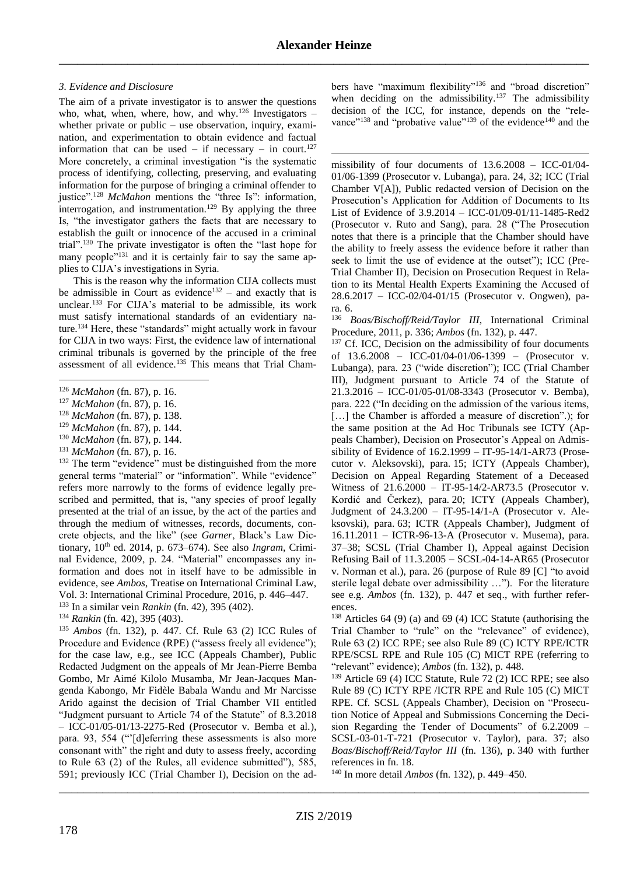<u>.</u>

### *3. Evidence and Disclosure*

The aim of a private investigator is to answer the questions who, what, when, where, how, and why.<sup>126</sup> Investigators – whether private or public – use observation, inquiry, examination, and experimentation to obtain evidence and factual information that can be used – if necessary – in court.<sup>127</sup> More concretely, a criminal investigation "is the systematic process of identifying, collecting, preserving, and evaluating information for the purpose of bringing a criminal offender to justice".<sup>128</sup> *McMahon* mentions the "three Is": information, interrogation, and instrumentation.<sup>129</sup> By applying the three Is, "the investigator gathers the facts that are necessary to establish the guilt or innocence of the accused in a criminal trial".<sup>130</sup> The private investigator is often the "last hope for many people"<sup>131</sup> and it is certainly fair to say the same applies to CIJA's investigations in Syria.

This is the reason why the information CIJA collects must be admissible in Court as evidence<sup>132</sup> – and exactly that is unclear.<sup>133</sup> For CIJA's material to be admissible, its work must satisfy international standards of an evidentiary nature.<sup>134</sup> Here, these "standards" might actually work in favour for CIJA in two ways: First, the evidence law of international criminal tribunals is governed by the principle of the free assessment of all evidence.<sup>135</sup> This means that Trial Cham-

- <sup>129</sup> *McMahon* (fn. [87\)](#page-6-5), p. 144.
- <sup>130</sup> *McMahon* (fn. [87\)](#page-6-5), p. 144.
- <sup>131</sup> *McMahon* (fn. [87\)](#page-6-5), p. 16.

<sup>132</sup> The term "evidence" must be distinguished from the more general terms "material" or "information". While "evidence" refers more narrowly to the forms of evidence legally prescribed and permitted, that is, "any species of proof legally presented at the trial of an issue, by the act of the parties and through the medium of witnesses, records, documents, concrete objects, and the like" (see *Garner*, Black's Law Dictionary, 10th ed. 2014, p. 673–674). See also *Ingram*, Criminal Evidence, 2009, p. 24. "Material" encompasses any information and does not in itself have to be admissible in evidence, see *Ambos*, Treatise on International Criminal Law, Vol. 3: International Criminal Procedure, 2016, p. 446–447.

<sup>133</sup> In a similar vein *Rankin* (fn. [42\)](#page-3-2), 395 (402).

<sup>134</sup> *Rankin* (fn. [42\)](#page-3-2), 395 (403). <sup>135</sup> *Ambos* (fn. [132\)](#page-9-0), p. 447. Cf. Rule 63 (2) ICC Rules of Procedure and Evidence (RPE) ("assess freely all evidence"); for the case law, e.g., see ICC (Appeals Chamber), Public Redacted Judgment on the appeals of Mr Jean-Pierre Bemba Gombo, Mr Aimé Kilolo Musamba, Mr Jean-Jacques Mangenda Kabongo, Mr Fidèle Babala Wandu and Mr Narcisse Arido against the decision of Trial Chamber VII entitled "Judgment pursuant to Article 74 of the Statute" of 8.3.2018 – ICC-01/05-01/13-2275-Red (Prosecutor v. Bemba et al*.*), para. 93, 554 ("'[d]eferring these assessments is also more consonant with" the right and duty to assess freely, according to Rule 63 (2) of the Rules, all evidence submitted"), 585, 591; previously ICC (Trial Chamber I), Decision on the ad<span id="page-9-1"></span>bers have "maximum flexibility"<sup>136</sup> and "broad discretion" when deciding on the admissibility.<sup>137</sup> The admissibility decision of the ICC, for instance, depends on the "relevance"<sup>138</sup> and "probative value"<sup>139</sup> of the evidence<sup>140</sup> and the

missibility of four documents of 13.6.2008 – ICC-01/04- 01/06-1399 (Prosecutor v. Lubanga), para. 24, 32; ICC (Trial Chamber V[A]), Public redacted version of Decision on the Prosecution's Application for Addition of Documents to Its List of Evidence of 3.9.2014 – ICC-01/09-01/11-1485-Red2 (Prosecutor v. Ruto and Sang), para. 28 ("The Prosecution notes that there is a principle that the Chamber should have the ability to freely assess the evidence before it rather than seek to limit the use of evidence at the outset"); ICC (Pre-Trial Chamber II), Decision on Prosecution Request in Relation to its Mental Health Experts Examining the Accused of 28.6.2017 – ICC-02/04-01/15 (Prosecutor v. Ongwen), para. 6.

<span id="page-9-0"></span><sup>136</sup> *Boas/Bischoff/Reid/Taylor III*, International Criminal Procedure, 2011, p. 336; *Ambos* (fn. [132\)](#page-9-0), p. 447.

<sup>137</sup> Cf. ICC, Decision on the admissibility of four documents of 13.6.2008 – ICC-01/04-01/06-1399 – (Prosecutor v. Lubanga), para. 23 ("wide discretion"); ICC (Trial Chamber III), Judgment pursuant to Article 74 of the Statute of 21.3.2016 – ICC-01/05-01/08-3343 (Prosecutor v. Bemba), para. 222 ("In deciding on the admission of the various items, [...] the Chamber is afforded a measure of discretion".); for the same position at the Ad Hoc Tribunals see ICTY (Appeals Chamber), Decision on Prosecutor's Appeal on Admissibility of Evidence of 16.2.1999 – IT-95-14/1-AR73 (Prosecutor v. Aleksovski), para. 15; ICTY (Appeals Chamber), Decision on Appeal Regarding Statement of a Deceased Witness of 21.6.2000 – IT-95-14/2-AR73.5 (Prosecutor v. Kordić and Čerkez), para. 20; ICTY (Appeals Chamber), Judgment of 24.3.200 – IT-95-14/1-A (Prosecutor v. Aleksovski), para. 63; ICTR (Appeals Chamber), Judgment of 16.11.2011 – ICTR-96-13-A (Prosecutor v. Musema), para. 37–38; SCSL (Trial Chamber I), Appeal against Decision Refusing Bail of 11.3.2005 – SCSL-04-14-AR65 (Prosecutor v. Norman et al.), para. 26 (purpose of Rule 89 [C] "to avoid sterile legal debate over admissibility …"). For the literature see e.g. *Ambos* (fn. [132\)](#page-9-0), p. 447 et seq., with further references.

<sup>138</sup> Articles 64 (9) (a) and 69 (4) ICC Statute (authorising the Trial Chamber to "rule" on the "relevance" of evidence), Rule 63 (2) ICC RPE; see also Rule 89 (C) ICTY RPE/ICTR RPE/SCSL RPE and Rule 105 (C) MICT RPE (referring to "relevant" evidence); *Ambos* (fn. [132\)](#page-9-0), p. 448.

<sup>139</sup> Article 69 (4) ICC Statute, Rule 72 (2) ICC RPE; see also Rule 89 (C) ICTY RPE /ICTR RPE and Rule 105 (C) MICT RPE. Cf. SCSL (Appeals Chamber), Decision on "Prosecution Notice of Appeal and Submissions Concerning the Decision Regarding the Tender of Documents" of 6.2.2009 – SCSL-03-01-T-721 (Prosecutor v. Taylor), para. 37; also *Boas/Bischoff/Reid/Taylor III* (fn. [136\)](#page-9-1), p. 340 with further references in fn. 18.

<sup>140</sup> In more detail *Ambos* (fn. [132\)](#page-9-0), p. 449–450.

<sup>&</sup>lt;u>.</u> <sup>126</sup> *McMahon* (fn. [87\)](#page-6-5), p. 16.

<sup>127</sup> *McMahon* (fn. [87\)](#page-6-5), p. 16.

<sup>128</sup> *McMahon* (fn. [87\)](#page-6-5), p. 138.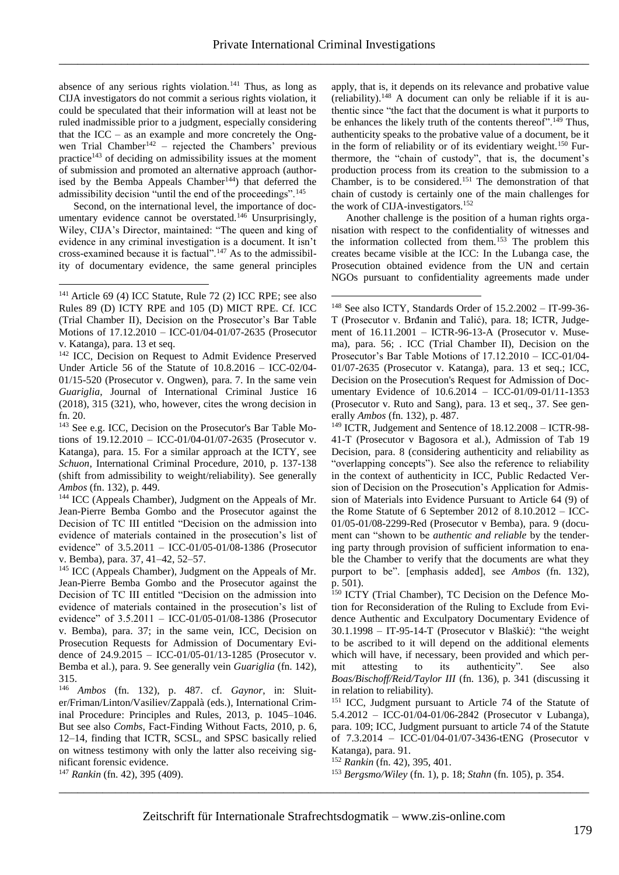1

<span id="page-10-0"></span>absence of any serious rights violation.<sup>141</sup> Thus, as long as CIJA investigators do not commit a serious rights violation, it could be speculated that their information will at least not be ruled inadmissible prior to a judgment, especially considering that the ICC – as an example and more concretely the Ongwen Trial Chamber<sup>142</sup> – rejected the Chambers' previous practice<sup>143</sup> of deciding on admissibility issues at the moment of submission and promoted an alternative approach (authorised by the Bemba Appeals Chamber<sup>144</sup>) that deferred the admissibility decision "until the end of the proceedings".<sup>145</sup>

Second, on the international level, the importance of documentary evidence cannot be overstated.<sup>146</sup> Unsurprisingly, Wiley, CIJA's Director, maintained: "The queen and king of evidence in any criminal investigation is a document. It isn't cross-examined because it is factual".<sup>147</sup> As to the admissibility of documentary evidence, the same general principles

1

<sup>142</sup> ICC, Decision on Request to Admit Evidence Preserved Under Article 56 of the Statute of 10.8.2016 – ICC-02/04- 01/15-520 (Prosecutor v. Ongwen), para. 7. In the same vein *Guariglia*, Journal of International Criminal Justice 16 (2018), 315 (321), who, however, cites the wrong decision in fn. 20.

<sup>143</sup> See e.g. ICC, Decision on the Prosecutor's Bar Table Motions of 19.12.2010 – ICC-01/04-01/07-2635 (Prosecutor v. Katanga), para. 15. For a similar approach at the ICTY, see *Schuon*, International Criminal Procedure, 2010, p. 137-138 (shift from admissibility to weight/reliability). See generally *Ambos* (fn. [132\)](#page-9-0), p. 449.

<sup>144</sup> ICC (Appeals Chamber), Judgment on the Appeals of Mr. Jean-Pierre Bemba Gombo and the Prosecutor against the Decision of TC III entitled "Decision on the admission into evidence of materials contained in the prosecution's list of evidence" of 3.5.2011 – ICC-01/05-01/08-1386 (Prosecutor v. Bemba), para. 37, 41–42, 52–57.

<sup>145</sup> ICC (Appeals Chamber), Judgment on the Appeals of Mr. Jean-Pierre Bemba Gombo and the Prosecutor against the Decision of TC III entitled "Decision on the admission into evidence of materials contained in the prosecution's list of evidence" of 3.5.2011 – ICC-01/05-01/08-1386 (Prosecutor v. Bemba), para. 37; in the same vein, ICC, Decision on Prosecution Requests for Admission of Documentary Evidence of 24.9.2015 – ICC-01/05-01/13-1285 (Prosecutor v. Bemba et al.), para. 9. See generally vein *Guariglia* (fn. [142\)](#page-10-0), 315.

<sup>146</sup> *Ambos* (fn. [132\)](#page-9-0), p. 487. cf. *Gaynor*, in: Sluiter/Friman/Linton/Vasiliev/Zappalà (eds.), International Criminal Procedure: Principles and Rules, 2013, p. 1045–1046. But see also *Combs*, Fact-Finding Without Facts, 2010, p. 6, 12–14, finding that ICTR, SCSL, and SPSC basically relied on witness testimony with only the latter also receiving significant forensic evidence.

<sup>147</sup> *Rankin* (fn. [42\)](#page-3-2), 395 (409).

apply, that is, it depends on its relevance and probative value (reliability). <sup>148</sup> A document can only be reliable if it is authentic since "the fact that the document is what it purports to be enhances the likely truth of the contents thereof".<sup>149</sup> Thus, authenticity speaks to the probative value of a document, be it in the form of reliability or of its evidentiary weight.<sup>150</sup> Furthermore, the "chain of custody", that is, the document's production process from its creation to the submission to a Chamber, is to be considered.<sup>151</sup> The demonstration of that chain of custody is certainly one of the main challenges for the work of CIJA-investigators.<sup>152</sup>

Another challenge is the position of a human rights organisation with respect to the confidentiality of witnesses and the information collected from them.<sup>153</sup> The problem this creates became visible at the ICC: In the Lubanga case, the Prosecution obtained evidence from the UN and certain NGOs pursuant to confidentiality agreements made under

<sup>149</sup> ICTR*,* Judgement and Sentence of 18.12.2008 – ICTR-98- 41-T (Prosecutor v Bagosora et al.), Admission of Tab 19 Decision, para. 8 (considering authenticity and reliability as "overlapping concepts"). See also the reference to reliability in the context of authenticity in ICC, Public Redacted Version of Decision on the Prosecution's Application for Admission of Materials into Evidence Pursuant to Article 64 (9) of the Rome Statute of 6 September 2012 of 8.10.2012 – ICC-01/05-01/08-2299-Red (Prosecutor v Bemba), para. 9 (document can "shown to be *authentic and reliable* by the tendering party through provision of sufficient information to enable the Chamber to verify that the documents are what they purport to be". [emphasis added], see *Ambos* (fn. [132\)](#page-9-0), p. 501).

150 ICTY (Trial Chamber), TC Decision on the Defence Motion for Reconsideration of the Ruling to Exclude from Evidence Authentic and Exculpatory Documentary Evidence of 30.1.1998 – IT-95-14-T (Prosecutor v Blaškić): "the weight to be ascribed to it will depend on the additional elements which will have, if necessary, been provided and which permit attesting to its authenticity". See also *Boas/Bischoff/Reid/Taylor III* (fn. [136\)](#page-9-1), p. 341 (discussing it in relation to reliability).

<sup>151</sup> ICC, Judgment pursuant to Article 74 of the Statute of 5.4.2012 – ICC-01/04-01/06-2842 (Prosecutor v Lubanga), para. 109; ICC, Judgment pursuant to article 74 of the Statute of 7.3.2014 – ICC-01/04-01/07-3436-tENG (Prosecutor v Katanga), para. 91.

<sup>152</sup> *Rankin* (fn[. 42\)](#page-3-2), 395, 401.

<sup>153</sup> *Bergsmo/Wiley* (fn. [1\)](#page-0-0), p. 18; *Stahn* (fn. 105), p. 354.

<sup>141</sup> Article 69 (4) ICC Statute, Rule 72 (2) ICC RPE; see also Rules 89 (D) ICTY RPE and 105 (D) MICT RPE. Cf. ICC (Trial Chamber II), Decision on the Prosecutor's Bar Table Motions of 17.12.2010 – ICC-01/04-01/07-2635 (Prosecutor v. Katanga), para. 13 et seq.

<sup>148</sup> See also ICTY, Standards Order of 15.2.2002 – IT-99-36- T (Prosecutor v. Brđanin and Talić), para. 18; ICTR, Judgement of 16.11.2001 – ICTR-96-13-A (Prosecutor v. Musema), para. 56; . ICC (Trial Chamber II), Decision on the Prosecutor's Bar Table Motions of 17.12.2010 – ICC-01/04- 01/07-2635 (Prosecutor v. Katanga), para. 13 et seq.; ICC, Decision on the Prosecution's Request for Admission of Documentary Evidence of 10.6.2014 – ICC-01/09-01/11-1353 (Prosecutor v. Ruto and Sang), para. 13 et seq., 37. See generally *Ambos* (fn. [132\)](#page-9-0), p. 487.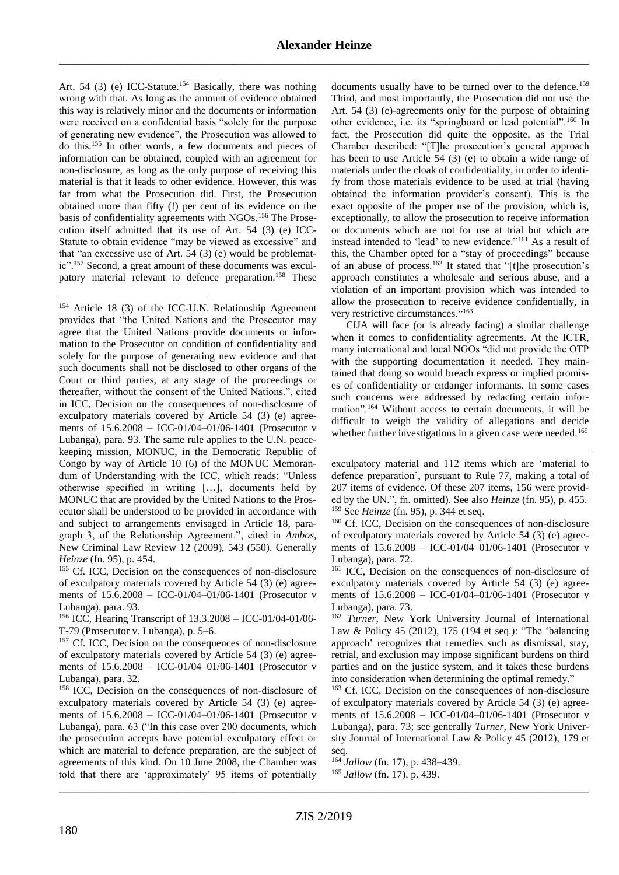Art. 54 (3) (e) ICC-Statute.<sup>154</sup> Basically, there was nothing wrong with that. As long as the amount of evidence obtained this way is relatively minor and the documents or information were received on a confidential basis "solely for the purpose of generating new evidence", the Prosecution was allowed to do this.<sup>155</sup> In other words, a few documents and pieces of information can be obtained, coupled with an agreement for non-disclosure, as long as the only purpose of receiving this material is that it leads to other evidence. However, this was far from what the Prosecution did. First, the Prosecution obtained more than fifty (!) per cent of its evidence on the basis of confidentiality agreements with NGOs.<sup>156</sup> The Prosecution itself admitted that its use of Art. 54 (3) (e) ICC-Statute to obtain evidence "may be viewed as excessive" and that "an excessive use of Art. 54 (3) (e) would be problematic".<sup>157</sup> Second, a great amount of these documents was exculpatory material relevant to defence preparation.<sup>158</sup> These

<sup>154</sup> Article 18 (3) of the ICC-U.N. Relationship Agreement provides that "the United Nations and the Prosecutor may agree that the United Nations provide documents or information to the Prosecutor on condition of confidentiality and solely for the purpose of generating new evidence and that such documents shall not be disclosed to other organs of the Court or third parties, at any stage of the proceedings or thereafter, without the consent of the United Nations.", cited in ICC, Decision on the consequences of non-disclosure of exculpatory materials covered by Article 54 (3) (e) agreements of 15.6.2008 – ICC-01/04–01/06-1401 (Prosecutor v Lubanga), para. 93. The same rule applies to the U.N. peacekeeping mission, MONUC, in the Democratic Republic of Congo by way of Article 10 (6) of the MONUC Memorandum of Understanding with the ICC, which reads: "Unless otherwise specified in writing […], documents held by MONUC that are provided by the United Nations to the Prosecutor shall be understood to be provided in accordance with and subject to arrangements envisaged in Article 18, paragraph 3, of the Relationship Agreement.", cited in *Ambos*, New Criminal Law Review 12 (2009), 543 (550). Generally *Heinze* (fn. [95\)](#page-6-2), p. 454.

<sup>155</sup> Cf. ICC, Decision on the consequences of non-disclosure of exculpatory materials covered by Article 54 (3) (e) agreements of 15.6.2008 – ICC-01/04–01/06-1401 (Prosecutor v Lubanga), para. 93.

<sup>156</sup> ICC, Hearing Transcript of 13.3.2008 – ICC-01/04-01/06- T-79 (Prosecutor v. Lubanga), p. 5–6.

<sup>157</sup> Cf. ICC, Decision on the consequences of non-disclosure of exculpatory materials covered by Article 54 (3) (e) agreements of 15.6.2008 – ICC-01/04–01/06-1401 (Prosecutor v Lubanga), para. 32.

<sup>158</sup> ICC, Decision on the consequences of non-disclosure of exculpatory materials covered by Article 54 (3) (e) agreements of 15.6.2008 – ICC-01/04–01/06-1401 (Prosecutor v Lubanga), para. 63 ("In this case over 200 documents, which the prosecution accepts have potential exculpatory effect or which are material to defence preparation, are the subject of agreements of this kind. On 10 June 2008, the Chamber was told that there are 'approximately' 95 items of potentially

documents usually have to be turned over to the defence.<sup>159</sup> Third, and most importantly, the Prosecution did not use the Art. 54 (3) (e)-agreements only for the purpose of obtaining other evidence, i.e. its "springboard or lead potential".<sup>160</sup> In fact, the Prosecution did quite the opposite, as the Trial Chamber described: "[T]he prosecution's general approach has been to use Article 54 (3) (e) to obtain a wide range of materials under the cloak of confidentiality, in order to identify from those materials evidence to be used at trial (having obtained the information provider's consent). This is the exact opposite of the proper use of the provision, which is, exceptionally, to allow the prosecution to receive information or documents which are not for use at trial but which are instead intended to 'lead' to new evidence."<sup>161</sup> As a result of this, the Chamber opted for a "stay of proceedings" because of an abuse of process.<sup>162</sup> It stated that "[t]he prosecution's approach constitutes a wholesale and serious abuse, and a violation of an important provision which was intended to allow the prosecution to receive evidence confidentially, in very restrictive circumstances."163

CIJA will face (or is already facing) a similar challenge when it comes to confidentiality agreements. At the ICTR, many international and local NGOs "did not provide the OTP with the supporting documentation it needed. They maintained that doing so would breach express or implied promises of confidentiality or endanger informants. In some cases such concerns were addressed by redacting certain information".<sup>164</sup> Without access to certain documents, it will be difficult to weigh the validity of allegations and decide whether further investigations in a given case were needed.<sup>165</sup>

exculpatory material and 112 items which are 'material to defence preparation', pursuant to Rule 77, making a total of 207 items of evidence. Of these 207 items, 156 were provided by the UN.", fn. omitted). See also *Heinze* (fn. [95\)](#page-6-2), p. 455. <sup>159</sup> See *Heinze* (fn. [95\)](#page-6-2), p. 344 et seq.

<sup>160</sup> Cf. ICC, Decision on the consequences of non-disclosure of exculpatory materials covered by Article 54 (3) (e) agreements of 15.6.2008 – ICC-01/04–01/06-1401 (Prosecutor v Lubanga), para. 72.

<sup>161</sup> ICC, Decision on the consequences of non-disclosure of exculpatory materials covered by Article 54 (3) (e) agreements of 15.6.2008 – ICC-01/04–01/06-1401 (Prosecutor v Lubanga), para. 73.

<sup>162</sup> *Turner*, New York University Journal of International Law & Policy 45 (2012), 175 (194 et seq.): "The 'balancing approach' recognizes that remedies such as dismissal, stay, retrial, and exclusion may impose significant burdens on third parties and on the justice system, and it takes these burdens into consideration when determining the optimal remedy."

<sup>163</sup> Cf. ICC, Decision on the consequences of non-disclosure of exculpatory materials covered by Article 54 (3) (e) agreements of 15.6.2008 – ICC-01/04–01/06-1401 (Prosecutor v Lubanga), para. 73; see generally *Turner*, New York University Journal of International Law & Policy 45 (2012), 179 et seq.

<sup>164</sup> *Jallow* (fn. [17\)](#page-1-0), p. 438–439.

<sup>165</sup> *Jallow* (fn. [17\)](#page-1-0), p. 439.

\_\_\_\_\_\_\_\_\_\_\_\_\_\_\_\_\_\_\_\_\_\_\_\_\_\_\_\_\_\_\_\_\_\_\_\_\_\_\_\_\_\_\_\_\_\_\_\_\_\_\_\_\_\_\_\_\_\_\_\_\_\_\_\_\_\_\_\_\_\_\_\_\_\_\_\_\_\_\_\_\_\_\_\_\_

<u>.</u>